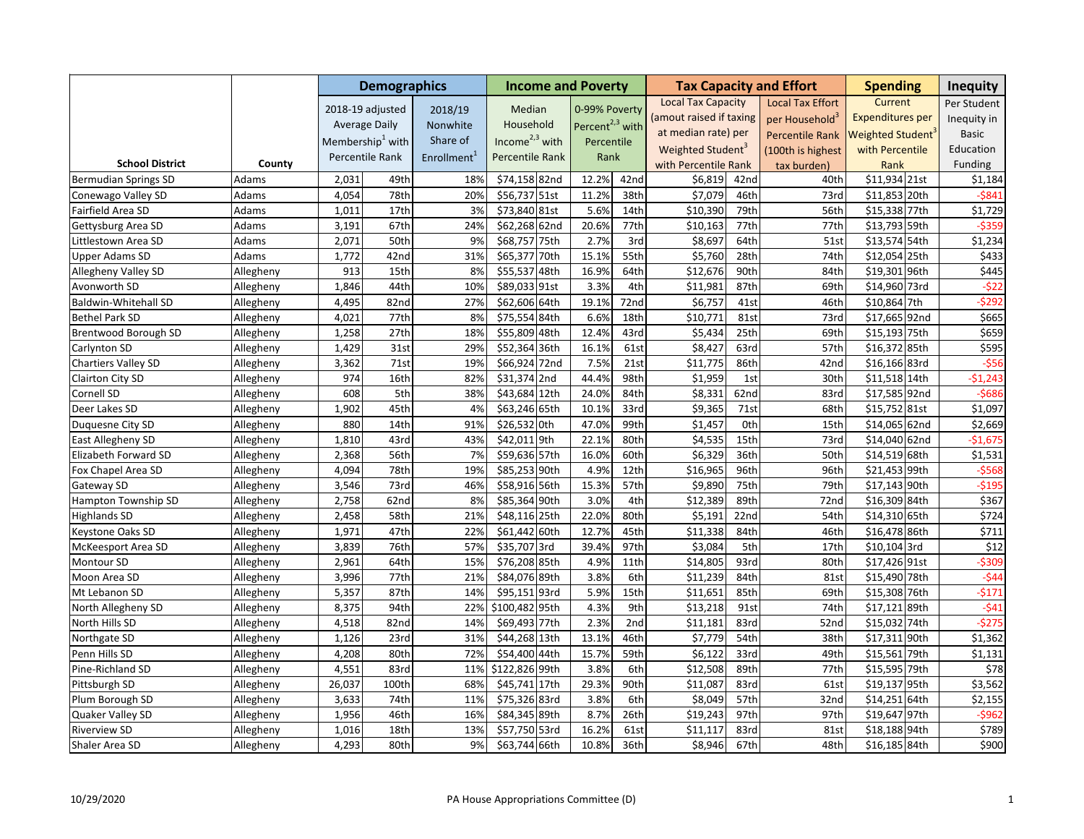|                             |           |        | <b>Demographics</b>          |                         | <b>Income and Poverty</b> |                             |      |                               |      | <b>Tax Capacity and Effort</b> | <b>Spending</b>         | <b>Inequity</b>  |
|-----------------------------|-----------|--------|------------------------------|-------------------------|---------------------------|-----------------------------|------|-------------------------------|------|--------------------------------|-------------------------|------------------|
|                             |           |        | 2018-19 adjusted             | 2018/19                 | Median                    | 0-99% Poverty               |      | <b>Local Tax Capacity</b>     |      | <b>Local Tax Effort</b>        | Current                 | Per Student      |
|                             |           |        | <b>Average Daily</b>         | Nonwhite                | Household                 | Percent <sup>2,3</sup> with |      | (amout raised if taxing       |      | per Household <sup>3</sup>     | <b>Expenditures per</b> | Inequity in      |
|                             |           |        | Membership <sup>1</sup> with | Share of                | Income $2,3$ with         |                             |      | at median rate) per           |      | <b>Percentile Rank</b>         | <b>Weighted Student</b> | Basic            |
|                             |           |        |                              |                         |                           | Percentile                  |      | Weighted Student <sup>3</sup> |      | (100th is highest              | with Percentile         | Education        |
| <b>School District</b>      | County    |        | Percentile Rank              | Enrollment <sup>1</sup> | Percentile Rank           | Rank                        |      | with Percentile Rank          |      | tax burden)                    | Rank                    | Funding          |
| <b>Bermudian Springs SD</b> | Adams     | 2,031  | 49th                         | 18%                     | \$74,158 82nd             | 12.2%                       | 42nd | \$6,819                       | 42nd | 40th                           | \$11,934 21st           | \$1,184          |
| Conewago Valley SD          | Adams     | 4,054  | 78th                         | 20%                     | \$56,737 51st             | 11.2%                       | 38th | \$7,079                       | 46th | 73rd                           | \$11,853 20th           | $-5841$          |
| Fairfield Area SD           | Adams     | 1,011  | 17th                         | 3%                      | \$73,840 81st             | 5.6%                        | 14th | \$10,390                      | 79th | 56th                           | \$15,338 77th           | \$1,729          |
| Gettysburg Area SD          | Adams     | 3,191  | 67th                         | 24%                     | \$62,268 62nd             | 20.6%                       | 77th | \$10,163                      | 77th | 77th                           | \$13,793 59th           | $-5359$          |
| Littlestown Area SD         | Adams     | 2,071  | 50th                         | 9%                      | \$68,757 75th             | 2.7%                        | 3rd  | \$8,697                       | 64th | 51st                           | \$13,574 54th           | \$1,234          |
| <b>Upper Adams SD</b>       | Adams     | 1,772  | 42nd                         | 31%                     | \$65,377 70th             | 15.1%                       | 55th | \$5,760                       | 28th | 74th                           | \$12,054 25th           | \$433            |
| Allegheny Valley SD         | Allegheny | 913    | 15th                         | 8%                      | \$55,537 48th             | 16.9%                       | 64th | \$12,676                      | 90th | 84th                           | \$19,301 96th           | \$445            |
| Avonworth SD                | Allegheny | 1,846  | 44th                         | 10%                     | \$89,033 91st             | 3.3%                        | 4th  | \$11,981                      | 87th | 69th                           | \$14,960 73rd           | $-522$           |
| Baldwin-Whitehall SD        | Allegheny | 4,495  | 82nd                         | 27%                     | \$62,606 64th             | 19.1%                       | 72nd | \$6,757                       | 41st | 46th                           | \$10,864 7th            | $-$ \$292        |
| <b>Bethel Park SD</b>       | Allegheny | 4,021  | 77th                         | 8%                      | \$75,554 84th             | 6.6%                        | 18th | \$10,771                      | 81st | 73rd                           | \$17,665 92nd           | \$665            |
| Brentwood Borough SD        | Allegheny | 1,258  | 27th                         | 18%                     | \$55,809 48th             | 12.4%                       | 43rd | \$5,434                       | 25th | 69th                           | \$15,193 75th           | \$659            |
| Carlynton SD                | Allegheny | 1,429  | 31st                         | 29%                     | \$52,364 36th             | 16.1%                       | 61st | \$8,427                       | 63rd | 57th                           | \$16,372 85th           | \$595            |
| Chartiers Valley SD         | Allegheny | 3,362  | 71st                         | 19%                     | \$66,924 72nd             | 7.5%                        | 21st | \$11,775                      | 86th | 42nd                           | \$16,166 83rd           | $-556$           |
| Clairton City SD            | Allegheny | 974    | 16th                         | 82%                     | \$31,374 2nd              | 44.4%                       | 98th | \$1,959                       | 1st  | 30th                           | \$11,518 14th           | $-$1,243$        |
| Cornell SD                  | Allegheny | 608    | 5th                          | 38%                     | \$43,684 12th             | 24.0%                       | 84th | \$8,331                       | 62nd | 83rd                           | \$17,585 92nd           | $-5686$          |
| Deer Lakes SD               | Allegheny | 1,902  | 45th                         | 4%                      | \$63,246 65th             | 10.1%                       | 33rd | \$9,365                       | 71st | 68th                           | \$15,752 81st           | \$1,097          |
| Duquesne City SD            | Allegheny | 880    | 14th                         | 91%                     | \$26,532 Oth              | 47.0%                       | 99th | \$1,457                       | 0th  | 15th                           | \$14,065 62nd           | \$2,669          |
| East Allegheny SD           | Allegheny | 1,810  | 43rd                         | 43%                     | \$42,011 9th              | 22.1%                       | 80th | \$4,535                       | 15th | 73rd                           | \$14,040 62nd           | $-$1,675$        |
| Elizabeth Forward SD        | Allegheny | 2,368  | 56th                         | 7%                      | \$59,636 57th             | 16.0%                       | 60th | \$6,329                       | 36th | 50th                           | \$14,519 68th           | \$1,531          |
| Fox Chapel Area SD          | Allegheny | 4,094  | 78th                         | 19%                     | \$85,253 90th             | 4.9%                        | 12th | \$16,965                      | 96th | 96th                           | \$21,453 99th           | $-5568$          |
| Gateway SD                  | Allegheny | 3,546  | 73rd                         | 46%                     | \$58,916 56th             | 15.3%                       | 57th | \$9,890                       | 75th | 79th                           | \$17,143 90th           | $-5195$          |
| Hampton Township SD         | Allegheny | 2,758  | 62nd                         | 8%                      | \$85,364 90th             | 3.0%                        | 4th  | \$12,389                      | 89th | 72nd                           | \$16,309 84th           | \$367            |
| <b>Highlands SD</b>         | Allegheny | 2,458  | 58th                         | 21%                     | \$48,116 25th             | 22.0%                       | 80th | \$5,191                       | 22nd | 54th                           | \$14,310 65th           | \$724            |
| Keystone Oaks SD            | Allegheny | 1,971  | 47th                         | 22%                     | \$61,442 60th             | 12.7%                       | 45th | \$11,338                      | 84th | 46th                           | \$16,478 86th           | \$711            |
| McKeesport Area SD          | Allegheny | 3,839  | 76th                         | 57%                     | \$35,707 3rd              | 39.4%                       | 97th | \$3,084                       | 5th  | 17th                           | \$10,104 3rd            | $\overline{$}12$ |
| Montour SD                  | Allegheny | 2,961  | 64th                         | 15%                     | \$76,208 85th             | 4.9%                        | 11th | \$14,805                      | 93rd | 80th                           | \$17,426 91st           | $-5309$          |
| Moon Area SD                | Allegheny | 3,996  | 77th                         | 21%                     | \$84,076 89th             | 3.8%                        | 6th  | \$11,239                      | 84th | 81st                           | \$15,490 78th           | $-544$           |
| Mt Lebanon SD               | Allegheny | 5,357  | 87th                         | 14%                     | \$95,151 93rd             | 5.9%                        | 15th | \$11,651                      | 85th | 69th                           | \$15,308 76th           | $-5171$          |
| North Allegheny SD          | Allegheny | 8,375  | 94th                         | 22%                     | \$100,482 95th            | 4.3%                        | 9th  | \$13,218                      | 91st | 74th                           | \$17,121 89th           | $-541$           |
| North Hills SD              | Allegheny | 4,518  | 82nd                         | 14%                     | \$69,493 77th             | 2.3%                        | 2nd  | \$11,181                      | 83rd | 52nd                           | \$15,032 74th           | $-5275$          |
| Northgate SD                | Allegheny | 1,126  | 23rd                         | 31%                     | \$44,268 13th             | 13.1%                       | 46th | \$7,779                       | 54th | 38th                           | \$17,311 90th           | \$1,362          |
| Penn Hills SD               | Allegheny | 4,208  | 80th                         | 72%                     | \$54,400 44th             | 15.7%                       | 59th | \$6,122                       | 33rd | 49th                           | \$15,561 79th           | \$1,131          |
| Pine-Richland SD            | Allegheny | 4,551  | 83rd                         | 11%                     | \$122,826 99th            | 3.8%                        | 6th  | \$12,508                      | 89th | 77th                           | \$15,595 79th           | \$78             |
| Pittsburgh SD               | Allegheny | 26,037 | 100th                        | 68%                     | \$45,741 17th             | 29.3%                       | 90th | \$11,087                      | 83rd | 61st                           | \$19,137 95th           | \$3,562          |
| Plum Borough SD             | Allegheny | 3,633  | 74th                         | 11%                     | \$75,326 83rd             | 3.8%                        | 6th  | \$8,049                       | 57th | 32nd                           | \$14,251 64th           | \$2,155          |
| Quaker Valley SD            | Allegheny | 1,956  | 46th                         | 16%                     | \$84,345 89th             | 8.7%                        | 26th | \$19,243                      | 97th | 97th                           | \$19,647 97th           | $-5962$          |
| <b>Riverview SD</b>         | Allegheny | 1,016  | 18th                         | 13%                     | \$57,750 53rd             | 16.2%                       | 61st | \$11,117                      | 83rd | 81st                           | \$18,188 94th           | \$789            |
| Shaler Area SD              | Allegheny | 4,293  | 80th                         | 9%                      | \$63,744 66th             | 10.8%                       | 36th | \$8,946                       | 67th | 48th                           | \$16,185 84th           | \$900            |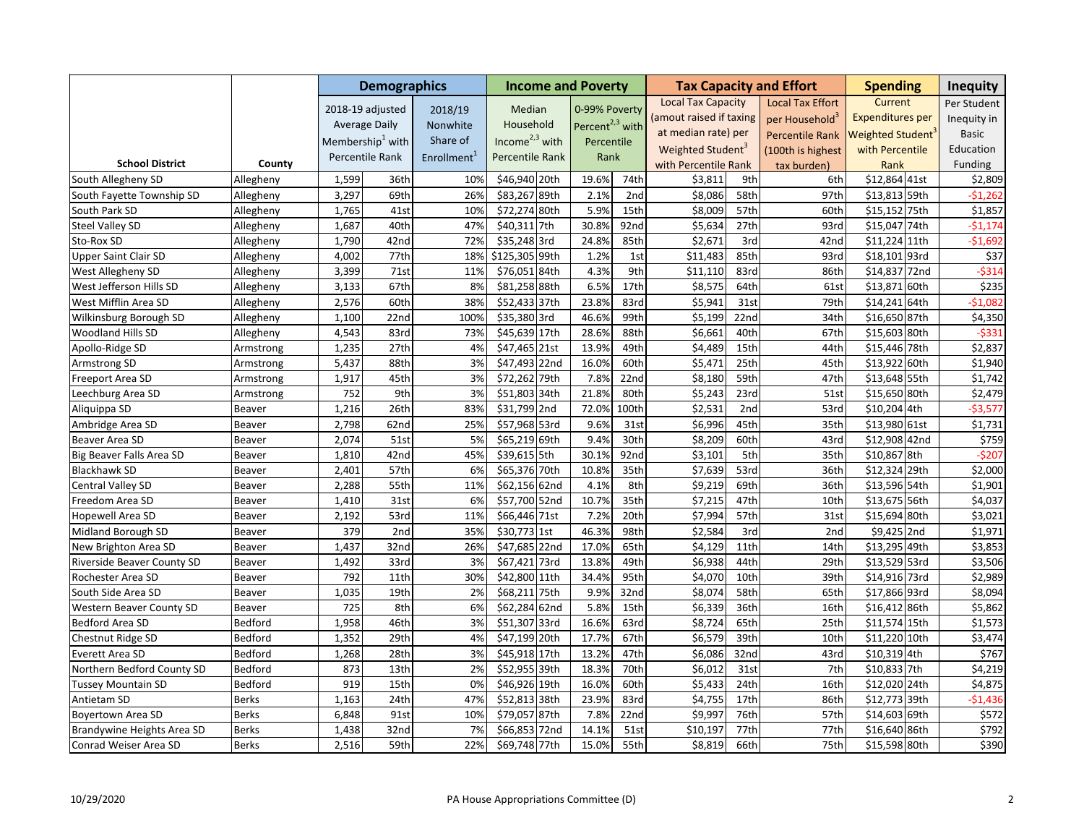|                                 |              |       | <b>Demographics</b>          |                         | <b>Income and Poverty</b> |                             |       |                               |                  | <b>Tax Capacity and Effort</b> | <b>Spending</b>         | <b>Inequity</b> |
|---------------------------------|--------------|-------|------------------------------|-------------------------|---------------------------|-----------------------------|-------|-------------------------------|------------------|--------------------------------|-------------------------|-----------------|
|                                 |              |       | 2018-19 adjusted             | 2018/19                 | Median                    | 0-99% Poverty               |       | <b>Local Tax Capacity</b>     |                  | <b>Local Tax Effort</b>        | Current                 | Per Student     |
|                                 |              |       | <b>Average Daily</b>         | Nonwhite                | Household                 | Percent <sup>2,3</sup> with |       | (amout raised if taxing       |                  | per Household <sup>3</sup>     | <b>Expenditures per</b> | Inequity in     |
|                                 |              |       |                              | Share of                | Income $2,3$ with         |                             |       | at median rate) per           |                  | <b>Percentile Rank</b>         | Weighted Student        | <b>Basic</b>    |
|                                 |              |       | Membership <sup>1</sup> with |                         |                           | Percentile                  |       | Weighted Student <sup>3</sup> |                  | (100th is highest              | with Percentile         | Education       |
| <b>School District</b>          | County       |       | Percentile Rank              | Enrollment <sup>1</sup> | Percentile Rank           | Rank                        |       | with Percentile Rank          |                  | tax burden)                    | Rank                    | Funding         |
| South Allegheny SD              | Allegheny    | 1,599 | 36th                         | 10%                     | \$46,940 20th             | 19.6%                       | 74th  | \$3,811                       | 9th              | 6th                            | \$12,864 41st           | \$2,809         |
| South Fayette Township SD       | Allegheny    | 3,297 | 69th                         | 26%                     | \$83,267 89th             | 2.1%                        | 2nd   | \$8,086                       | 58th             | 97th                           | \$13,813 59th           | $-$1,262$       |
| South Park SD                   | Allegheny    | 1,765 | 41st                         | 10%                     | \$72,274 80th             | 5.9%                        | 15th  | \$8,009                       | 57th             | 60th                           | \$15,152 75th           | \$1,857         |
| <b>Steel Valley SD</b>          | Allegheny    | 1,687 | 40th                         | 47%                     | \$40,311 7th              | 30.8%                       | 92nd  | \$5,634                       | 27th             | 93rd                           | \$15,047 74th           | $-51,174$       |
| Sto-Rox SD                      | Allegheny    | 1,790 | 42nd                         | 72%                     | \$35,248 3rd              | 24.8%                       | 85th  | \$2,671                       | 3rd              | 42nd                           | \$11,224 11th           | $-$1,692$       |
| <b>Upper Saint Clair SD</b>     | Allegheny    | 4,002 | 77th                         | 18%                     | \$125,305 99th            | 1.2%                        | 1st   | \$11,483                      | 85th             | 93rd                           | \$18,101 93rd           | \$37            |
| West Allegheny SD               | Allegheny    | 3,399 | 71st                         | 11%                     | \$76,051 84th             | 4.3%                        | 9th   | \$11,110                      | 83rd             | 86th                           | \$14,837 72nd           | $-5314$         |
| West Jefferson Hills SD         | Allegheny    | 3,133 | 67th                         | 8%                      | \$81,258 88th             | 6.5%                        | 17th  | \$8,575                       | 64th             | 61st                           | \$13,871 60th           | \$235           |
| West Mifflin Area SD            | Allegheny    | 2,576 | 60th                         | 38%                     | \$52,433 37th             | 23.8%                       | 83rd  | \$5,941                       | 31st             | 79th                           | \$14,241 64th           | $-$1,082$       |
| Wilkinsburg Borough SD          | Allegheny    | 1,100 | 22 <sub>nd</sub>             | 100%                    | \$35,380 3rd              | 46.6%                       | 99th  | \$5,199                       | 22nd             | 34th                           | \$16,650 87th           | \$4,350         |
| Woodland Hills SD               | Allegheny    | 4,543 | 83rd                         | 73%                     | \$45,639 17th             | 28.6%                       | 88th  | \$6,661                       | 40th             | 67th                           | \$15,603 80th           | $-5331$         |
| Apollo-Ridge SD                 | Armstrong    | 1,235 | 27th                         | 4%                      | \$47,465 21st             | 13.9%                       | 49th  | \$4,489                       | 15th             | 44th                           | \$15,446 78th           | \$2,837         |
| <b>Armstrong SD</b>             | Armstrong    | 5,437 | 88th                         | 3%                      | \$47,493 22nd             | 16.0%                       | 60th  | \$5,471                       | 25th             | 45th                           | \$13,922 60th           | \$1,940         |
| Freeport Area SD                | Armstrong    | 1,917 | 45th                         | 3%                      | \$72,262 79th             | 7.8%                        | 22nd  | \$8,180                       | 59th             | 47th                           | \$13,648 55th           | \$1,742         |
| Leechburg Area SD               | Armstrong    | 752   | 9th                          | 3%                      | \$51,803 34th             | 21.8%                       | 80th  | \$5,243                       | 23rd             | 51st                           | \$15,650 80th           | \$2,479         |
| Aliquippa SD                    | Beaver       | 1,216 | 26th                         | 83%                     | \$31,799 2nd              | 72.0%                       | 100th | \$2,531                       | 2nd              | 53rd                           | \$10,204 4th            | $-$3,577$       |
| Ambridge Area SD                | Beaver       | 2,798 | 62nd                         | 25%                     | \$57,968 53rd             | 9.6%                        | 31st  | \$6,996                       | 45th             | 35th                           | \$13,980 61st           | \$1,731         |
| Beaver Area SD                  | Beaver       | 2,074 | 51st                         | 5%                      | \$65,219 69th             | 9.4%                        | 30th  | \$8,209                       | 60th             | 43rd                           | \$12,908 42nd           | \$759           |
| Big Beaver Falls Area SD        | Beaver       | 1,810 | 42nd                         | 45%                     | \$39,615 5th              | 30.1%                       | 92nd  | \$3,101                       | 5th              | 35th                           | \$10,867 8th            | $-5207$         |
| <b>Blackhawk SD</b>             | Beaver       | 2,401 | 57th                         | 6%                      | \$65,376 70th             | 10.8%                       | 35th  | \$7,639                       | 53rd             | 36th                           | \$12,324 29th           | \$2,000         |
| Central Valley SD               | Beaver       | 2,288 | 55th                         | 11%                     | \$62,156 62nd             | 4.1%                        | 8th   | \$9,219                       | 69th             | 36th                           | \$13,596 54th           | \$1,901         |
| Freedom Area SD                 | Beaver       | 1,410 | 31st                         | 6%                      | \$57,700 52nd             | 10.7%                       | 35th  | \$7,215                       | 47th             | 10th                           | \$13,675 56th           | \$4,037         |
| <b>Hopewell Area SD</b>         | Beaver       | 2,192 | 53rd                         | 11%                     | \$66,446 71st             | 7.2%                        | 20th  | \$7,994                       | 57th             | 31st                           | \$15,694 80th           | \$3,021         |
| Midland Borough SD              | Beaver       | 379   | 2nd                          | 35%                     | \$30,773 1st              | 46.3%                       | 98th  | \$2,584                       | 3rd              | 2nd                            | \$9,425 2nd             | \$1,971         |
| New Brighton Area SD            | Beaver       | 1,437 | 32nd                         | 26%                     | \$47,685 22nd             | 17.0%                       | 65th  | \$4,129                       | 11th             | 14th                           | \$13,295 49th           | \$3,853         |
| Riverside Beaver County SD      | Beaver       | 1,492 | 33rd                         | 3%                      | \$67,421 73rd             | 13.8%                       | 49th  | \$6,938                       | 44th             | 29th                           | \$13,529 53rd           | \$3,506         |
| Rochester Area SD               | Beaver       | 792   | 11th                         | 30%                     | \$42,800 11th             | 34.4%                       | 95th  | \$4,070                       | 10th             | 39th                           | \$14,916 73rd           | \$2,989         |
| South Side Area SD              | Beaver       | 1,035 | 19th                         | 2%                      | \$68,211 75th             | 9.9%                        | 32nd  | \$8,074                       | 58th             | 65th                           | \$17,866 93rd           | \$8,094         |
| <b>Western Beaver County SD</b> | Beaver       | 725   | 8th                          | 6%                      | \$62,284 62nd             | 5.8%                        | 15th  | \$6,339                       | 36th             | 16th                           | \$16,412 86th           | \$5,862         |
| Bedford Area SD                 | Bedford      | 1,958 | 46th                         | 3%                      | \$51,307 33rd             | 16.6%                       | 63rd  | \$8,724                       | 65th             | 25th                           | \$11,574 15th           | \$1,573         |
| <b>Chestnut Ridge SD</b>        | Bedford      | 1,352 | 29th                         | 4%                      | \$47,199 20th             | 17.7%                       | 67th  | \$6,579                       | 39th             | 10th                           | \$11,220 10th           | \$3,474         |
| Everett Area SD                 | Bedford      | 1,268 | 28th                         | 3%                      | \$45,918 17th             | 13.2%                       | 47th  | \$6,086                       | 32 <sub>nd</sub> | 43rd                           | \$10,319 4th            | \$767           |
| Northern Bedford County SD      | Bedford      | 873   | 13th                         | 2%                      | \$52,955 39th             | 18.3%                       | 70th  | \$6,012                       | 31st             | 7th                            | \$10,833 7th            | \$4,219         |
| <b>Tussey Mountain SD</b>       | Bedford      | 919   | 15th                         | 0%                      | \$46,926 19th             | 16.0%                       | 60th  | \$5,433                       | 24th             | 16th                           | \$12,020 24th           | \$4,875         |
| Antietam SD                     | <b>Berks</b> | 1,163 | 24th                         | 47%                     | \$52,813 38th             | 23.9%                       | 83rd  | \$4,755                       | 17th             | 86th                           | \$12,773 39th           | $-$1,436$       |
| Boyertown Area SD               | <b>Berks</b> | 6,848 | 91st                         | 10%                     | \$79,057 87th             | 7.8%                        | 22nd  | \$9,997                       | 76th             | 57th                           | \$14,603 69th           | \$572           |
| Brandywine Heights Area SD      | <b>Berks</b> | 1,438 | 32nd                         | 7%                      | \$66,853 72nd             | 14.1%                       | 51st  | \$10,197                      | 77th             | 77th                           | \$16,640 86th           | \$792           |
| Conrad Weiser Area SD           | <b>Berks</b> | 2,516 | 59th                         | 22%                     | \$69,748 77th             | 15.0%                       | 55th  | \$8,819                       | 66th             | 75th                           | \$15,598 80th           | \$390           |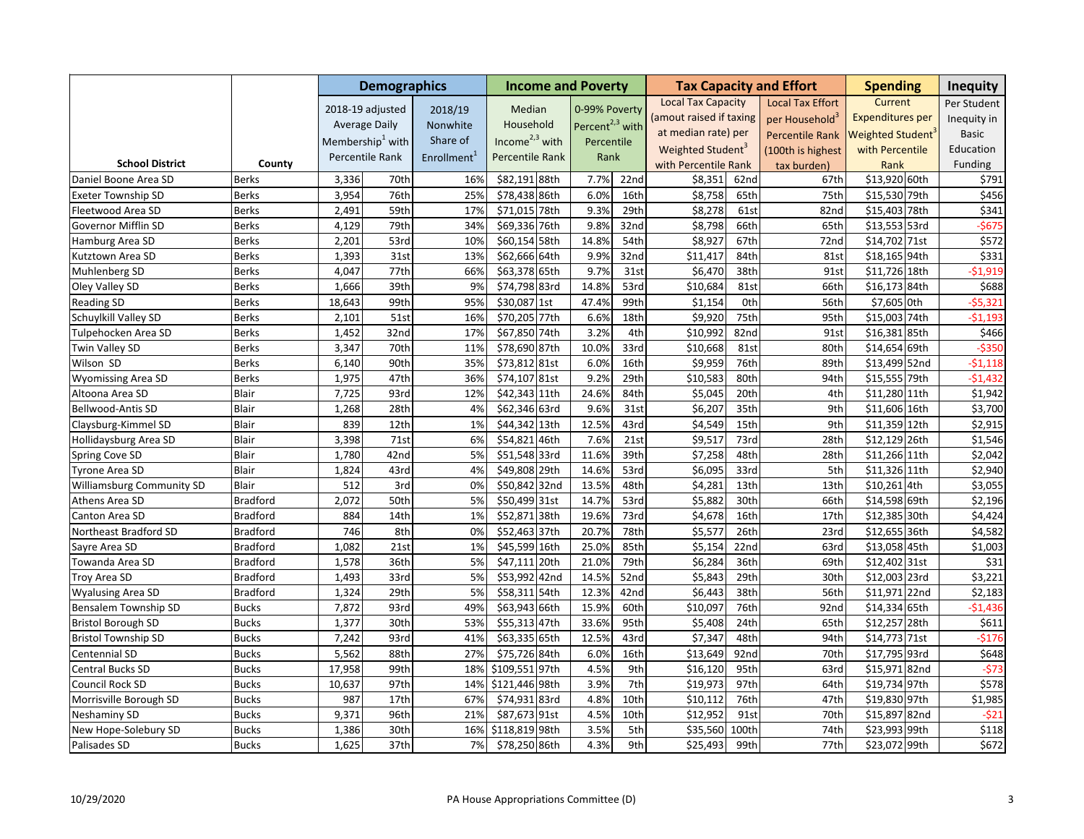|                            |                 |        | <b>Demographics</b>          |                         | <b>Income and Poverty</b> |                             |      |                               |       | <b>Tax Capacity and Effort</b> | <b>Spending</b>               | <b>Inequity</b> |
|----------------------------|-----------------|--------|------------------------------|-------------------------|---------------------------|-----------------------------|------|-------------------------------|-------|--------------------------------|-------------------------------|-----------------|
|                            |                 |        | 2018-19 adjusted             | 2018/19                 | Median                    | 0-99% Poverty               |      | <b>Local Tax Capacity</b>     |       | <b>Local Tax Effort</b>        | Current                       | Per Student     |
|                            |                 |        | <b>Average Daily</b>         | <b>Nonwhite</b>         | Household                 | Percent <sup>2,3</sup> with |      | (amout raised if taxing       |       | per Household <sup>3</sup>     | <b>Expenditures per</b>       | Inequity in     |
|                            |                 |        | Membership <sup>1</sup> with | Share of                | Income $2,3$ with         |                             |      | at median rate) per           |       | <b>Percentile Rank</b>         | Weighted Student <sup>®</sup> | <b>Basic</b>    |
|                            |                 |        |                              |                         |                           | Percentile                  |      | Weighted Student <sup>3</sup> |       | (100th is highest              | with Percentile               | Education       |
| <b>School District</b>     | County          |        | Percentile Rank              | Enrollment <sup>1</sup> | Percentile Rank           | Rank                        |      | with Percentile Rank          |       | tax burden)                    | Rank                          | Funding         |
| Daniel Boone Area SD       | <b>Berks</b>    | 3,336  | 70th                         | 16%                     | \$82,191 88th             | 7.7%                        | 22nd | \$8,351                       | 62nd  | 67th                           | \$13,920 60th                 | \$791           |
| <b>Exeter Township SD</b>  | Berks           | 3,954  | 76th                         | 25%                     | \$78,438 86th             | 6.0%                        | 16th | \$8,758                       | 65th  | 75th                           | \$15,530 79th                 | \$456           |
| Fleetwood Area SD          | <b>Berks</b>    | 2,491  | 59th                         | 17%                     | \$71,015 78th             | 9.3%                        | 29th | \$8,278                       | 61st  | 82nd                           | \$15,403 78th                 | \$341           |
| Governor Mifflin SD        | <b>Berks</b>    | 4,129  | 79th                         | 34%                     | \$69,336 76th             | 9.8%                        | 32nd | \$8,798                       | 66th  | 65th                           | \$13,553 53rd                 | $-5675$         |
| Hamburg Area SD            | <b>Berks</b>    | 2,201  | 53rd                         | 10%                     | \$60,154 58th             | 14.8%                       | 54th | \$8,927                       | 67th  | 72nd                           | \$14,702 71st                 | \$572           |
| Kutztown Area SD           | <b>Berks</b>    | 1,393  | 31st                         | 13%                     | \$62,666 64th             | 9.9%                        | 32nd | \$11,417                      | 84th  | 81st                           | \$18,165 94th                 | \$331           |
| Muhlenberg SD              | Berks           | 4,047  | 77th                         | 66%                     | \$63,378 65th             | 9.7%                        | 31st | \$6,470                       | 38th  | 91st                           | \$11,726 18th                 | $-51,919$       |
| Oley Valley SD             | <b>Berks</b>    | 1,666  | 39th                         | 9%                      | \$74,798 83rd             | 14.8%                       | 53rd | \$10,684                      | 81st  | 66th                           | \$16,173 84th                 | \$688           |
| <b>Reading SD</b>          | <b>Berks</b>    | 18,643 | 99th                         | 95%                     | \$30,087 1st              | 47.4%                       | 99th | \$1,154                       | 0th   | 56th                           | \$7,605 0th                   | $-55,321$       |
| Schuylkill Valley SD       | <b>Berks</b>    | 2,101  | 51st                         | 16%                     | \$70,205 77th             | 6.6%                        | 18th | \$9,920                       | 75th  | 95th                           | \$15,003 74th                 | $-51,193$       |
| Tulpehocken Area SD        | Berks           | 1,452  | 32nd                         | 17%                     | \$67,850 74th             | 3.2%                        | 4th  | \$10,992                      | 82nd  | 91st                           | \$16,381 85th                 | \$466           |
| Twin Valley SD             | <b>Berks</b>    | 3,347  | 70th                         | 11%                     | \$78,690 87th             | 10.0%                       | 33rd | \$10,668                      | 81st  | 80th                           | \$14,654 69th                 | $-5350$         |
| Wilson SD                  | Berks           | 6,140  | 90th                         | 35%                     | \$73,812 81st             | 6.0%                        | 16th | \$9,959                       | 76th  | 89th                           | \$13,499 52nd                 | $-51,118$       |
| <b>Wyomissing Area SD</b>  | <b>Berks</b>    | 1,975  | 47th                         | 36%                     | \$74,107 81st             | 9.2%                        | 29th | \$10,583                      | 80th  | 94th                           | \$15,555 79th                 | $-51,432$       |
| Altoona Area SD            | <b>Blair</b>    | 7,725  | 93rd                         | 12%                     | \$42,343 11th             | 24.6%                       | 84th | \$5,045                       | 20th  | 4th                            | \$11,280 11th                 | \$1,942         |
| Bellwood-Antis SD          | Blair           | 1,268  | 28th                         | 4%                      | \$62,346 63rd             | 9.6%                        | 31st | \$6,207                       | 35th  | 9th                            | \$11,606 16th                 | \$3,700         |
| Claysburg-Kimmel SD        | Blair           | 839    | 12th                         | 1%                      | \$44,342 13th             | 12.5%                       | 43rd | \$4,549                       | 15th  | 9th                            | \$11,359 12th                 | \$2,915         |
| Hollidaysburg Area SD      | <b>Blair</b>    | 3,398  | 71st                         | 6%                      | \$54,821<br>46th          | 7.6%                        | 21st | \$9,517                       | 73rd  | 28th                           | \$12,129 26th                 | \$1,546         |
| Spring Cove SD             | <b>Blair</b>    | 1,780  | 42nd                         | 5%                      | \$51,548 33rd             | 11.6%                       | 39th | \$7,258                       | 48th  | 28th                           | \$11,266 11th                 | \$2,042         |
| Tyrone Area SD             | <b>Blair</b>    | 1,824  | 43rd                         | 4%                      | \$49,808 29th             | 14.6%                       | 53rd | \$6,095                       | 33rd  | 5th                            | \$11,326 11th                 | \$2,940         |
| Williamsburg Community SD  | Blair           | 512    | 3rd                          | 0%                      | \$50,842<br>32nd          | 13.5%                       | 48th | \$4,281                       | 13th  | 13th                           | \$10,261 4th                  | \$3,055         |
| Athens Area SD             | <b>Bradford</b> | 2,072  | 50th                         | 5%                      | \$50,499 31st             | 14.7%                       | 53rd | \$5,882                       | 30th  | 66th                           | \$14,598 69th                 | \$2,196         |
| Canton Area SD             | <b>Bradford</b> | 884    | 14th                         | 1%                      | \$52,871 38th             | 19.6%                       | 73rd | \$4,678                       | 16th  | 17th                           | \$12,385 30th                 | \$4,424         |
| Northeast Bradford SD      | <b>Bradford</b> | 746    | 8th                          | 0%                      | \$52,463 37th             | 20.7%                       | 78th | \$5,577                       | 26th  | 23rd                           | \$12,655 36th                 | \$4,582         |
| Sayre Area SD              | <b>Bradford</b> | 1,082  | 21st                         | 1%                      | \$45,599 16th             | 25.0%                       | 85th | \$5,154                       | 22nd  | 63rd                           | \$13,058 45th                 | \$1,003         |
| Towanda Area SD            | <b>Bradford</b> | 1,578  | 36th                         | 5%                      | \$47,111 20th             | 21.0%                       | 79th | \$6,284                       | 36th  | 69th                           | \$12,402 31st                 | \$31            |
| Troy Area SD               | <b>Bradford</b> | 1,493  | 33rd                         | 5%                      | \$53,992<br>42nd          | 14.5%                       | 52nd | \$5,843                       | 29th  | 30th                           | \$12,003 23rd                 | \$3,221         |
| Wyalusing Area SD          | <b>Bradford</b> | 1,324  | 29th                         | 5%                      | \$58,311 54th             | 12.3%                       | 42nd | \$6,443                       | 38th  | 56th                           | \$11,971 22nd                 | \$2,183         |
| Bensalem Township SD       | <b>Bucks</b>    | 7,872  | 93rd                         | 49%                     | \$63,943 66th             | 15.9%                       | 60th | \$10,097                      | 76th  | 92nd                           | \$14,334 65th                 | $-$1,436$       |
| <b>Bristol Borough SD</b>  | <b>Bucks</b>    | 1,377  | 30th                         | 53%                     | \$55,313 47th             | 33.6%                       | 95th | \$5,408                       | 24th  | 65th                           | \$12,257 28th                 | \$611           |
| <b>Bristol Township SD</b> | <b>Bucks</b>    | 7,242  | 93rd                         | 41%                     | \$63,335 65th             | 12.5%                       | 43rd | \$7,347                       | 48th  | 94th                           | \$14,773 71st                 | $-$176$         |
| Centennial SD              | <b>Bucks</b>    | 5,562  | 88th                         | 27%                     | \$75,726 84th             | 6.0%                        | 16th | \$13,649                      | 92nd  | 70th                           | \$17,795 93rd                 | \$648           |
| Central Bucks SD           | <b>Bucks</b>    | 17,958 | 99th                         | 18%                     | \$109,551 97th            | 4.5%                        | 9th  | \$16,120                      | 95th  | 63rd                           | \$15,971 82nd                 | $-573$          |
| Council Rock SD            | <b>Bucks</b>    | 10,637 | 97th                         | 14%                     | \$121,446 98th            | 3.9%                        | 7th  | \$19,973                      | 97th  | 64th                           | \$19,734 97th                 | \$578           |
| Morrisville Borough SD     | <b>Bucks</b>    | 987    | 17th                         | 67%                     | \$74,931 83rd             | 4.8%                        | 10th | \$10,112                      | 76th  | 47th                           | \$19,830 97th                 | \$1,985         |
| Neshaminy SD               | <b>Bucks</b>    | 9,371  | 96th                         | 21%                     | \$87,673 91st             | 4.5%                        | 10th | \$12,952                      | 91st  | 70th                           | \$15,897 82nd                 | $-521$          |
| New Hope-Solebury SD       | <b>Bucks</b>    | 1,386  | 30th                         | 16%                     | \$118,819 98th            | 3.5%                        | 5th  | \$35,560                      | 100th | 74th                           | \$23,993 99th                 | \$118           |
| Palisades SD               | <b>Bucks</b>    | 1,625  | 37th                         | 7%                      | \$78,250 86th             | 4.3%                        | 9th  | \$25,493                      | 99th  | 77th                           | \$23,072 99th                 | \$672           |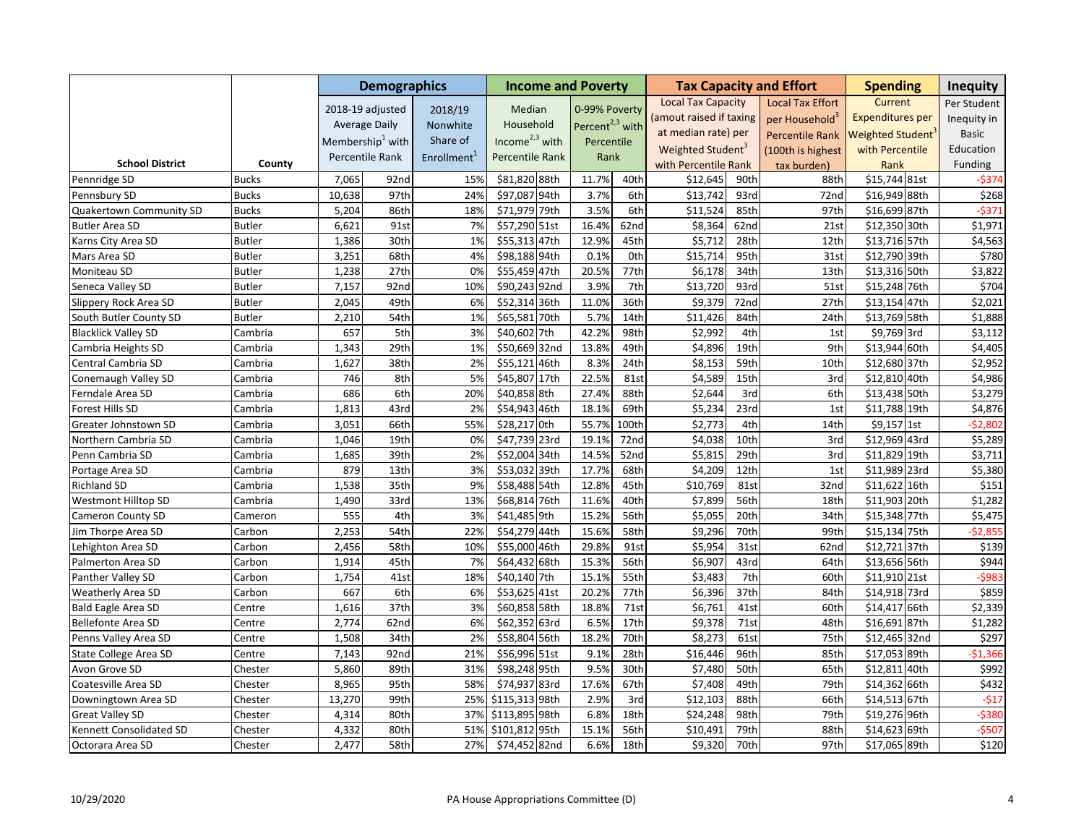|                            |               |        | <b>Demographics</b>          |                         | <b>Income and Poverty</b> |                             |                 |                               |      | <b>Tax Capacity and Effort</b> | <b>Spending</b>         | <b>Inequity</b> |
|----------------------------|---------------|--------|------------------------------|-------------------------|---------------------------|-----------------------------|-----------------|-------------------------------|------|--------------------------------|-------------------------|-----------------|
|                            |               |        | 2018-19 adjusted             | 2018/19                 | Median                    | 0-99% Poverty               |                 | <b>Local Tax Capacity</b>     |      | <b>Local Tax Effort</b>        | Current                 | Per Student     |
|                            |               |        | <b>Average Daily</b>         | Nonwhite                | Household                 | Percent <sup>2,3</sup> with |                 | (amout raised if taxing       |      | per Household <sup>3</sup>     | <b>Expenditures per</b> | Inequity in     |
|                            |               |        | Membership <sup>1</sup> with | Share of                | Income $2,3$ with         |                             |                 | at median rate) per           |      | <b>Percentile Rank</b>         | <b>Weighted Student</b> | Basic           |
|                            |               |        |                              |                         |                           | Percentile                  |                 | Weighted Student <sup>3</sup> |      | (100th is highest              | with Percentile         | Education       |
| <b>School District</b>     | County        |        | Percentile Rank              | Enrollment <sup>1</sup> | Percentile Rank           | Rank                        |                 | with Percentile Rank          |      | tax burden)                    | Rank                    | Funding         |
| Pennridge SD               | <b>Bucks</b>  | 7,065  | 92nd                         | 15%                     | \$81,820 88th             | 11.7%                       | 40th            | \$12,645                      | 90th | 88th                           | \$15,744 81st           | -\$374          |
| Pennsbury SD               | <b>Bucks</b>  | 10,638 | 97th                         | 24%                     | \$97,087 94th             | 3.7%                        | 6th             | \$13,742                      | 93rd | 72nd                           | \$16,949 88th           | \$268           |
| Quakertown Community SD    | <b>Bucks</b>  | 5,204  | 86th                         | 18%                     | \$71,979 79th             | 3.5%                        | 6th             | \$11,524                      | 85th | 97th                           | \$16,699 87th           | $-5371$         |
| <b>Butler Area SD</b>      | <b>Butler</b> | 6,621  | 91st                         | 7%                      | \$57,290 51st             | 16.4%                       | 62nd            | \$8,364                       | 62nd | 21st                           | \$12,350 30th           | \$1,971         |
| Karns City Area SD         | <b>Butler</b> | 1,386  | 30th                         | 1%                      | \$55,313 47th             | 12.9%                       | 45th            | \$5,712                       | 28th | 12th                           | \$13,716 57th           | \$4,563         |
| Mars Area SD               | <b>Butler</b> | 3,251  | 68th                         | 4%                      | \$98,188 94th             | 0.1%                        | 0 <sub>th</sub> | \$15,714                      | 95th | 31st                           | \$12,790 39th           | \$780           |
| Moniteau SD                | <b>Butler</b> | 1,238  | 27th                         | 0%                      | \$55,459 47th             | 20.5%                       | 77th            | \$6,178                       | 34th | 13th                           | \$13,316 50th           | \$3,822         |
| Seneca Valley SD           | <b>Butler</b> | 7,157  | 92nd                         | 10%                     | \$90,243 92nd             | 3.9%                        | 7th             | \$13,720                      | 93rd | 51st                           | \$15,248 76th           | \$704           |
| Slippery Rock Area SD      | <b>Butler</b> | 2,045  | 49th                         | 6%                      | \$52,314 36th             | 11.0%                       | 36th            | \$9,379                       | 72nd | 27th                           | \$13,154 47th           | \$2,021         |
| South Butler County SD     | <b>Butler</b> | 2,210  | 54th                         | 1%                      | \$65,581 70th             | 5.7%                        | 14th            | \$11,426                      | 84th | 24th                           | \$13,769 58th           | \$1,888         |
| <b>Blacklick Valley SD</b> | Cambria       | 657    | 5th                          | 3%                      | \$40,602 7th              | 42.2%                       | 98th            | \$2,992                       | 4th  | 1st                            | \$9,769 3rd             | \$3,112         |
| Cambria Heights SD         | Cambria       | 1,343  | 29th                         | 1%                      | \$50,669 32nd             | 13.8%                       | 49th            | \$4,896                       | 19th | 9th                            | \$13,944 60th           | \$4,405         |
| Central Cambria SD         | Cambria       | 1,627  | 38th                         | 2%                      | \$55,121<br>46th          | 8.3%                        | 24th            | \$8,153                       | 59th | 10th                           | \$12,680 37th           | \$2,952         |
| Conemaugh Valley SD        | Cambria       | 746    | 8th                          | 5%                      | \$45,807 17th             | 22.5%                       | 81st            | \$4,589                       | 15th | 3rd                            | \$12,810 40th           | \$4,986         |
| Ferndale Area SD           | Cambria       | 686    | 6th                          | 20%                     | \$40,858 8th              | 27.4%                       | 88th            | \$2,644                       | 3rd  | 6th                            | \$13,438 50th           | \$3,279         |
| Forest Hills SD            | Cambria       | 1,813  | 43rd                         | 2%                      | \$54,943 46th             | 18.1%                       | 69th            | \$5,234                       | 23rd | 1st                            | \$11,788 19th           | \$4,876         |
| Greater Johnstown SD       | Cambria       | 3,051  | 66th                         | 55%                     | \$28,217 0th              | 55.7%                       | 100th           | \$2,773                       | 4th  | 14th                           | \$9,157 1st             | $-52,802$       |
| Northern Cambria SD        | Cambria       | 1,046  | 19th                         | 0%                      | \$47,739 23rd             | 19.1%                       | 72nd            | \$4,038                       | 10th | 3rd                            | \$12,969 43rd           | \$5,289         |
| Penn Cambria SD            | Cambria       | 1,685  | 39th                         | 2%                      | \$52,004 34th             | 14.5%                       | 52nd            | \$5,815                       | 29th | 3rd                            | \$11,829 19th           | \$3,711         |
| Portage Area SD            | Cambria       | 879    | 13th                         | 3%                      | 39th<br>\$53,032          | 17.7%                       | 68th            | \$4,209                       | 12th | 1st                            | \$11,989 23rd           | \$5,380         |
| <b>Richland SD</b>         | Cambria       | 1,538  | 35th                         | 9%                      | \$58,488 54th             | 12.8%                       | 45th            | \$10,769                      | 81st | 32nd                           | \$11,622 16th           | \$151           |
| <b>Westmont Hilltop SD</b> | Cambria       | 1,490  | 33rd                         | 13%                     | \$68,814 76th             | 11.6%                       | 40th            | \$7,899                       | 56th | 18th                           | \$11,903 20th           | \$1,282         |
| <b>Cameron County SD</b>   | Cameron       | 555    | 4th                          | 3%                      | \$41,485 9th              | 15.2%                       | 56th            | \$5,055                       | 20th | 34th                           | \$15,348 77th           | \$5,475         |
| Jim Thorpe Area SD         | Carbon        | 2,253  | 54th                         | 22%                     | \$54,279 44th             | 15.6%                       | 58th            | \$9,296                       | 70th | 99th                           | \$15,134 75th           | $-52,855$       |
| Lehighton Area SD          | Carbon        | 2,456  | 58th                         | 10%                     | \$55,000 46th             | 29.8%                       | 91st            | \$5,954                       | 31st | 62nd                           | \$12,721 37th           | \$139           |
| Palmerton Area SD          | Carbon        | 1,914  | 45th                         | 7%                      | \$64,432 68th             | 15.3%                       | 56th            | \$6,907                       | 43rd | 64th                           | \$13,656 56th           | \$944           |
| Panther Valley SD          | Carbon        | 1,754  | 41st                         | 18%                     | \$40,140 7th              | 15.1%                       | 55th            | \$3,483                       | 7th  | 60th                           | \$11,910 21st           | $-$ \$983       |
| Weatherly Area SD          | Carbon        | 667    | 6th                          | 6%                      | \$53,625 41st             | 20.2%                       | 77th            | \$6,396                       | 37th | 84th                           | \$14,918 73rd           | \$859           |
| <b>Bald Eagle Area SD</b>  | Centre        | 1,616  | 37th                         | 3%                      | \$60,858 58th             | 18.8%                       | 71st            | \$6,761                       | 41st | 60th                           | \$14,417 66th           | \$2,339         |
| <b>Bellefonte Area SD</b>  | Centre        | 2,774  | 62nd                         | 6%                      | \$62,352 63rd             | 6.5%                        | 17th            | \$9,378                       | 71st | 48th                           | \$16,691 87th           | \$1,282         |
| Penns Valley Area SD       | Centre        | 1,508  | 34th                         | 2%                      | \$58,804 56th             | 18.2%                       | 70th            | \$8,273                       | 61st | 75th                           | \$12,465 32nd           | \$297           |
| State College Area SD      | Centre        | 7,143  | 92nd                         | 21%                     | \$56,996 51st             | 9.1%                        | 28th            | \$16,446                      | 96th | 85th                           | \$17,053 89th           | $-$1,366$       |
| Avon Grove SD              | Chester       | 5,860  | 89th                         | 31%                     | \$98,248 95th             | 9.5%                        | 30th            | \$7,480                       | 50th | 65th                           | \$12,811 40th           | \$992           |
| Coatesville Area SD        | Chester       | 8,965  | 95th                         | 58%                     | \$74,937 83rd             | 17.6%                       | 67th            | \$7,408                       | 49th | 79th                           | \$14,362 66th           | \$432           |
| Downingtown Area SD        | Chester       | 13,270 | 99th                         | 25%                     | \$115,313 98th            | 2.9%                        | 3rd             | \$12,103                      | 88th | 66th                           | \$14,513 67th           | $-517$          |
| <b>Great Valley SD</b>     | Chester       | 4,314  | 80th                         | 37%                     | \$113,895 98th            | 6.8%                        | 18th            | \$24,248                      | 98th | 79th                           | \$19,276 96th           | $-5380$         |
| Kennett Consolidated SD    | Chester       | 4,332  | 80th                         | 51%                     | 95th<br>\$101,812         | 15.1%                       | 56th            | \$10,491                      | 79th | 88th                           | \$14,623 69th           | $-5507$         |
| Octorara Area SD           | Chester       | 2,477  | 58th                         | 27%                     | \$74,452 82nd             | 6.6%                        | 18th            | \$9,320                       | 70th | 97th                           | \$17,065 89th           | \$120           |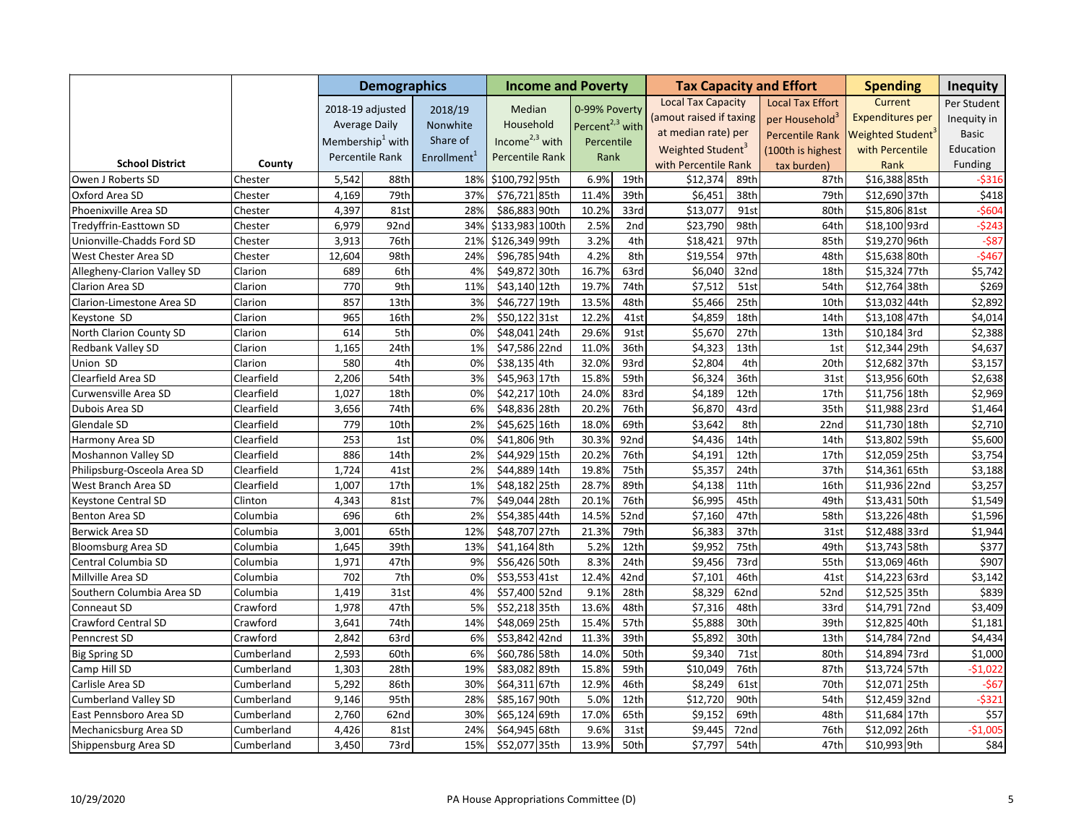|                             |            |        | <b>Demographics</b>          |                         | <b>Income and Poverty</b> |                             |      |                               |                  | <b>Tax Capacity and Effort</b> | <b>Spending</b>         | <b>Inequity</b> |
|-----------------------------|------------|--------|------------------------------|-------------------------|---------------------------|-----------------------------|------|-------------------------------|------------------|--------------------------------|-------------------------|-----------------|
|                             |            |        | 2018-19 adjusted             | 2018/19                 | Median                    | 0-99% Poverty               |      | <b>Local Tax Capacity</b>     |                  | <b>Local Tax Effort</b>        | Current                 | Per Student     |
|                             |            |        | <b>Average Daily</b>         | Nonwhite                | Household                 | Percent <sup>2,3</sup> with |      | (amout raised if taxing       |                  | per Household <sup>3</sup>     | <b>Expenditures per</b> | Inequity in     |
|                             |            |        | Membership <sup>1</sup> with | Share of                | Income $2,3$ with         |                             |      | at median rate) per           |                  | <b>Percentile Rank</b>         | Weighted Student        | <b>Basic</b>    |
|                             |            |        |                              |                         |                           | Percentile                  |      | Weighted Student <sup>3</sup> |                  | (100th is highest              | with Percentile         | Education       |
| <b>School District</b>      | County     |        | Percentile Rank              | Enrollment <sup>1</sup> | Percentile Rank           | Rank                        |      | with Percentile Rank          |                  | tax burden)                    | Rank                    | Funding         |
| Owen J Roberts SD           | Chester    | 5,542  | 88th                         | 18%                     | \$100,792 95th            | 6.9%                        | 19th | \$12,374                      | 89th             | 87th                           | \$16,388 85th           | $-5316$         |
| Oxford Area SD              | Chester    | 4,169  | 79th                         | 37%                     | \$76,721 85th             | 11.4%                       | 39th | \$6,451                       | 38th             | 79th                           | \$12,690 37th           | \$418           |
| Phoenixville Area SD        | Chester    | 4,397  | 81st                         | 28%                     | \$86,883 90th             | 10.2%                       | 33rd | \$13,077                      | 91st             | 80th                           | \$15,806 81st           | $- $604$        |
| Tredyffrin-Easttown SD      | Chester    | 6,979  | 92nd                         | 34%                     | \$133,983 100th           | 2.5%                        | 2nd  | \$23,790                      | 98th             | 64th                           | \$18,100 93rd           | $-5243$         |
| Unionville-Chadds Ford SD   | Chester    | 3,913  | 76th                         | 21%                     | \$126,349 99th            | 3.2%                        | 4th  | \$18,421                      | 97th             | 85th                           | \$19,270 96th           | $-587$          |
| West Chester Area SD        | Chester    | 12,604 | 98th                         | 24%                     | \$96,785 94th             | 4.2%                        | 8th  | \$19,554                      | 97th             | 48th                           | \$15,638 80th           | $-5467$         |
| Allegheny-Clarion Valley SD | Clarion    | 689    | 6th                          | 4%                      | \$49,872 30th             | 16.7%                       | 63rd | \$6,040                       | 32 <sub>nd</sub> | 18th                           | \$15,324 77th           | \$5,742         |
| Clarion Area SD             | Clarion    | 770    | 9th                          | 11%                     | \$43,140 12th             | 19.7%                       | 74th | \$7,512                       | 51st             | 54th                           | \$12,764 38th           | \$269           |
| Clarion-Limestone Area SD   | Clarion    | 857    | 13th                         | 3%                      | \$46,727 19th             | 13.5%                       | 48th | \$5,466                       | 25th             | 10th                           | \$13,032 44th           | \$2,892         |
| Keystone SD                 | Clarion    | 965    | 16th                         | 2%                      | \$50,122 31st             | 12.2%                       | 41st | \$4,859                       | 18th             | 14th                           | \$13,108 47th           | \$4,014         |
| North Clarion County SD     | Clarion    | 614    | 5th                          | 0%                      | \$48,041 24th             | 29.6%                       | 91st | \$5,670                       | 27th             | 13th                           | $$10,184$ 3rd           | \$2,388         |
| Redbank Valley SD           | Clarion    | 1,165  | 24th                         | 1%                      | \$47,586 22nd             | 11.0%                       | 36th | \$4,323                       | 13 <sub>th</sub> | 1st                            | \$12,344 29th           | \$4,637         |
| Union SD                    | Clarion    | 580    | 4th                          | 0%                      | \$38,135 4th              | 32.0%                       | 93rd | \$2,804                       | 4th              | 20th                           | \$12,682 37th           | \$3,157         |
| Clearfield Area SD          | Clearfield | 2,206  | 54th                         | 3%                      | \$45,963 17th             | 15.8%                       | 59th | \$6,324                       | 36th             | 31st                           | \$13,956 60th           | \$2,638         |
| Curwensville Area SD        | Clearfield | 1,027  | 18th                         | 0%                      | \$42,217 10th             | 24.0%                       | 83rd | \$4,189                       | 12th             | 17th                           | \$11,756 18th           | \$2,969         |
| Dubois Area SD              | Clearfield | 3,656  | 74th                         | 6%                      | \$48,836 28th             | 20.2%                       | 76th | \$6,870                       | 43rd             | 35th                           | \$11,988 23rd           | \$1,464         |
| Glendale SD                 | Clearfield | 779    | 10th                         | 2%                      | \$45,625 16th             | 18.0%                       | 69th | \$3,642                       | 8th              | 22nd                           | \$11,730 18th           | \$2,710         |
| Harmony Area SD             | Clearfield | 253    | 1st                          | 0%                      | \$41,806 9th              | 30.3%                       | 92nd | \$4,436                       | 14th             | 14th                           | \$13,802 59th           | \$5,600         |
| Moshannon Valley SD         | Clearfield | 886    | 14th                         | 2%                      | \$44,929 15th             | 20.2%                       | 76th | \$4,191                       | 12th             | 17th                           | \$12,059 25th           | \$3,754         |
| Philipsburg-Osceola Area SD | Clearfield | 1,724  | 41st                         | 2%                      | \$44,889 14th             | 19.8%                       | 75th | \$5,357                       | 24th             | 37th                           | \$14,361 65th           | \$3,188         |
| West Branch Area SD         | Clearfield | 1,007  | 17th                         | 1%                      | \$48,182 25th             | 28.7%                       | 89th | \$4,138                       | 11th             | 16th                           | \$11,936 22nd           | \$3,257         |
| Keystone Central SD         | Clinton    | 4,343  | 81st                         | 7%                      | \$49,044 28th             | 20.1%                       | 76th | \$6,995                       | 45th             | 49th                           | \$13,431 50th           | \$1,549         |
| Benton Area SD              | Columbia   | 696    | 6th                          | 2%                      | \$54,385 44th             | 14.5%                       | 52nd | \$7,160                       | 47th             | 58th                           | \$13,226 48th           | \$1,596         |
| Berwick Area SD             | Columbia   | 3,001  | 65th                         | 12%                     | \$48,707 27th             | 21.3%                       | 79th | \$6,383                       | 37th             | 31st                           | \$12,488 33rd           | \$1,944         |
| <b>Bloomsburg Area SD</b>   | Columbia   | 1,645  | 39th                         | 13%                     | \$41,164 8th              | 5.2%                        | 12th | \$9,952                       | 75th             | 49th                           | \$13,743 58th           | \$377           |
| Central Columbia SD         | Columbia   | 1,971  | 47th                         | 9%                      | \$56,426 50th             | 8.3%                        | 24th | \$9,456                       | 73rd             | 55th                           | \$13,069 46th           | \$907           |
| Millville Area SD           | Columbia   | 702    | 7th                          | 0%                      | \$53,553 41st             | 12.4%                       | 42nd | \$7,101                       | 46th             | 41st                           | \$14,223 63rd           | \$3,142         |
| Southern Columbia Area SD   | Columbia   | 1,419  | 31st                         | 4%                      | \$57,400 52nd             | 9.1%                        | 28th | \$8,329                       | 62nd             | 52nd                           | \$12,525 35th           | \$839           |
| Conneaut SD                 | Crawford   | 1,978  | 47th                         | 5%                      | \$52,218 35th             | 13.6%                       | 48th | \$7,316                       | 48th             | 33rd                           | \$14,791 72nd           | \$3,409         |
| Crawford Central SD         | Crawford   | 3,641  | 74th                         | 14%                     | \$48,069 25th             | 15.4%                       | 57th | \$5,888                       | 30th             | 39th                           | \$12,825 40th           | \$1,181         |
| Penncrest SD                | Crawford   | 2,842  | 63rd                         | 6%                      | \$53,842 42nd             | 11.3%                       | 39th | \$5,892                       | 30th             | 13th                           | \$14,784 72nd           | \$4,434         |
| <b>Big Spring SD</b>        | Cumberland | 2,593  | 60th                         | 6%                      | \$60,786 58th             | 14.0%                       | 50th | \$9,340                       | 71st             | 80th                           | \$14,894 73rd           | \$1,000         |
| Camp Hill SD                | Cumberland | 1,303  | 28th                         | 19%                     | \$83,082 89th             | 15.8%                       | 59th | \$10,049                      | 76th             | 87th                           | \$13,724 57th           | $-$1,022$       |
| Carlisle Area SD            | Cumberland | 5,292  | 86th                         | 30%                     | \$64,311 67th             | 12.9%                       | 46th | \$8,249                       | 61st             | 70th                           | \$12,071 25th           | $-567$          |
| <b>Cumberland Valley SD</b> | Cumberland | 9,146  | 95th                         | 28%                     | \$85,167 90th             | 5.0%                        | 12th | \$12,720                      | 90th             | 54th                           | \$12,459 32nd           | $-5321$         |
| East Pennsboro Area SD      | Cumberland | 2,760  | 62nd                         | 30%                     | \$65,124 69th             | 17.0%                       | 65th | \$9,152                       | 69th             | 48th                           | \$11,684 17th           | \$57            |
| Mechanicsburg Area SD       | Cumberland | 4,426  | 81st                         | 24%                     | \$64,945 68th             | 9.6%                        | 31st | \$9,445                       | 72nd             | 76th                           | \$12,092 26th           | $-$1,005$       |
| Shippensburg Area SD        | Cumberland | 3,450  | 73rd                         | 15%                     | \$52,077 35th             | 13.9%                       | 50th | \$7,797                       | 54th             | 47th                           | \$10,993 9th            | \$84            |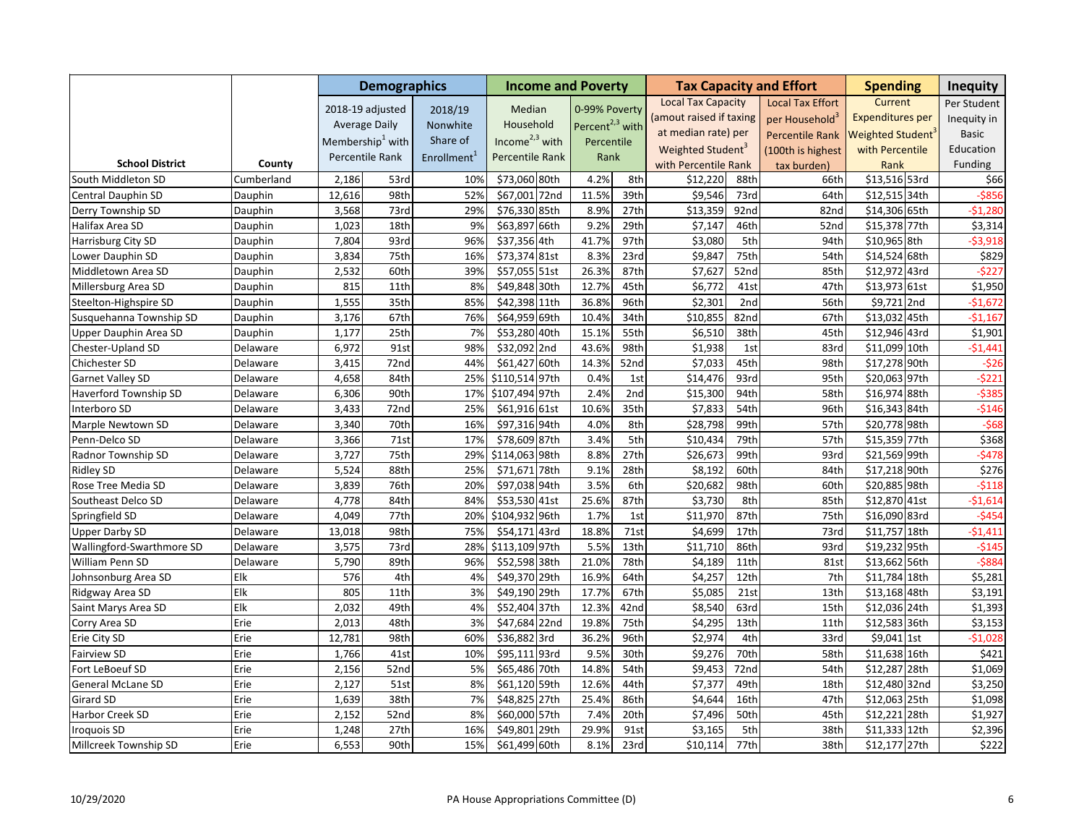|                           |            |        | <b>Demographics</b>          |                         | <b>Income and Poverty</b> |                             |                  |                               |      | <b>Tax Capacity and Effort</b> | <b>Spending</b>               |      | <b>Inequity</b> |
|---------------------------|------------|--------|------------------------------|-------------------------|---------------------------|-----------------------------|------------------|-------------------------------|------|--------------------------------|-------------------------------|------|-----------------|
|                           |            |        | 2018-19 adjusted             | 2018/19                 | Median                    | 0-99% Poverty               |                  | <b>Local Tax Capacity</b>     |      | <b>Local Tax Effort</b>        | Current                       |      | Per Student     |
|                           |            |        | <b>Average Daily</b>         | Nonwhite                | Household                 | Percent <sup>2,3</sup> with |                  | (amout raised if taxing       |      | per Household <sup>3</sup>     | <b>Expenditures per</b>       |      | Inequity in     |
|                           |            |        | Membership <sup>1</sup> with | Share of                | Income $2,3$ with         |                             |                  | at median rate) per           |      | <b>Percentile Rank</b>         | Weighted Student <sup>®</sup> |      | <b>Basic</b>    |
|                           |            |        |                              |                         |                           | Percentile                  |                  | Weighted Student <sup>3</sup> |      | (100th is highest              | with Percentile               |      | Education       |
| <b>School District</b>    | County     |        | Percentile Rank              | Enrollment <sup>1</sup> | Percentile Rank           | Rank                        |                  | with Percentile Rank          |      | tax burden)                    | Rank                          |      | Funding         |
| South Middleton SD        | Cumberland | 2,186  | 53rd                         | 10%                     | \$73,060 80th             | 4.2%                        | 8th              | \$12,220                      | 88th | 66th                           | \$13,516 53rd                 |      | \$66            |
| Central Dauphin SD        | Dauphin    | 12,616 | 98th                         | 52%                     | \$67,001 72nd             | 11.5%                       | 39th             | \$9,546                       | 73rd | 64th                           | \$12,515 34th                 |      | $-5856$         |
| Derry Township SD         | Dauphin    | 3,568  | 73rd                         | 29%                     | \$76,330 85th             | 8.9%                        | 27th             | \$13,359                      | 92nd | 82nd                           | \$14,306 65th                 |      | $-51,280$       |
| Halifax Area SD           | Dauphin    | 1,023  | 18th                         | 9%                      | \$63,897 66th             | 9.2%                        | 29th             | \$7,147                       | 46th | 52nd                           | \$15,378 77th                 |      | \$3,314         |
| Harrisburg City SD        | Dauphin    | 7,804  | 93rd                         | 96%                     | \$37,356 4th              | 41.7%                       | 97th             | \$3,080                       | 5th  | 94th                           | \$10,965 8th                  |      | $-53,918$       |
| Lower Dauphin SD          | Dauphin    | 3,834  | 75th                         | 16%                     | \$73,374 81st             | 8.3%                        | 23rd             | \$9,847                       | 75th | 54th                           | \$14,524 68th                 |      | \$829           |
| Middletown Area SD        | Dauphin    | 2,532  | 60th                         | 39%                     | \$57,055 51st             | 26.3%                       | 87th             | \$7,627                       | 52nd | 85th                           | \$12,972 43rd                 |      | $-5227$         |
| Millersburg Area SD       | Dauphin    | 815    | 11th                         | 8%                      | \$49,848 30th             | 12.7%                       | 45th             | \$6,772                       | 41st | 47th                           | \$13,973 61st                 |      | \$1,950         |
| Steelton-Highspire SD     | Dauphin    | 1,555  | 35th                         | 85%                     | \$42,398 11th             | 36.8%                       | 96th             | \$2,301                       | 2nd  | 56th                           | \$9,721 2nd                   |      | $-$1,672$       |
| Susquehanna Township SD   | Dauphin    | 3,176  | 67th                         | 76%                     | \$64,959 69th             | 10.4%                       | 34th             | \$10,855                      | 82nd | 67th                           | \$13,032 45th                 |      | $-$1,167$       |
| Upper Dauphin Area SD     | Dauphin    | 1,177  | 25th                         | 7%                      | \$53,280 40th             | 15.1%                       | 55th             | \$6,510                       | 38th | 45th                           | \$12,946 43rd                 |      | \$1,901         |
| Chester-Upland SD         | Delaware   | 6,972  | 91st                         | 98%                     | \$32,092 2nd              | 43.6%                       | 98th             | \$1,938                       | 1st  | 83rd                           | \$11,099 10th                 |      | $-$1,441$       |
| Chichester SD             | Delaware   | 3,415  | 72nd                         | 44%                     | \$61,427 60th             | 14.3%                       | 52nd             | \$7,033                       | 45th | 98th                           | \$17,278 90th                 |      | $-526$          |
| Garnet Valley SD          | Delaware   | 4,658  | 84th                         | 25%                     | \$110,514 97th            | 0.4%                        | 1st              | \$14,476                      | 93rd | 95th                           | \$20,063 97th                 |      | $-5221$         |
| Haverford Township SD     | Delaware   | 6,306  | 90th                         | 17%                     | \$107,494 97th            | 2.4%                        | 2nd              | \$15,300                      | 94th | 58th                           | \$16,974 88th                 |      | $-5385$         |
| Interboro SD              | Delaware   | 3,433  | 72nd                         | 25%                     | \$61,916 61st             | 10.6%                       | 35th             | \$7,833                       | 54th | 96th                           | \$16,343 84th                 |      | $-5146$         |
| Marple Newtown SD         | Delaware   | 3,340  | 70th                         | 16%                     | \$97,316 94th             | 4.0%                        | 8th              | \$28,798                      | 99th | 57th                           | \$20,778 98th                 |      | $-568$          |
| Penn-Delco SD             | Delaware   | 3,366  | 71st                         | 17%                     | \$78,609 87th             | 3.4%                        | 5th              | \$10,434                      | 79th | 57th                           | \$15,359 77th                 |      | \$368           |
| Radnor Township SD        | Delaware   | 3,727  | 75th                         | 29%                     | \$114,063 98th            | 8.8%                        | 27th             | \$26,673                      | 99th | 93rd                           | \$21,569 99th                 |      | $-$ \$478       |
| <b>Ridley SD</b>          | Delaware   | 5,524  | 88th                         | 25%                     | \$71,671 78th             | 9.1%                        | 28th             | \$8,192                       | 60th | 84th                           | \$17,218 90th                 |      | \$276           |
| Rose Tree Media SD        | Delaware   | 3,839  | 76th                         | 20%                     | \$97,038 94th             | 3.5%                        | 6th              | \$20,682                      | 98th | 60th                           | \$20,885 98th                 |      | $-5118$         |
| Southeast Delco SD        | Delaware   | 4,778  | 84th                         | 84%                     | \$53,530 41st             | 25.6%                       | 87th             | \$3,730                       | 8th  | 85th                           | \$12,870 41st                 |      | $-$1,614$       |
| Springfield SD            | Delaware   | 4,049  | 77th                         | 20%                     | \$104,932 96th            | 1.7%                        | 1st              | \$11,970                      | 87th | 75th                           | \$16,090 83rd                 |      | $-5454$         |
| <b>Upper Darby SD</b>     | Delaware   | 13,018 | 98th                         | 75%                     | \$54,171 43rd             | 18.8%                       | 71st             | \$4,699                       | 17th | 73rd                           | \$11,757 18th                 |      | $-51,411$       |
| Wallingford-Swarthmore SD | Delaware   | 3,575  | 73rd                         | 28%                     | \$113,109 97th            | 5.5%                        | 13 <sup>th</sup> | \$11,710                      | 86th | 93rd                           | \$19,232 95th                 |      | $-5145$         |
| William Penn SD           | Delaware   | 5,790  | 89th                         | 96%                     | \$52,598 38th             | 21.0%                       | 78th             | \$4,189                       | 11th | 81st                           | \$13,662 56th                 |      | $-5884$         |
| Johnsonburg Area SD       | Elk        | 576    | 4th                          | 4%                      | \$49,370 29th             | 16.9%                       | 64th             | \$4,257                       | 12th | 7th                            | \$11,784 18th                 |      | \$5,281         |
| Ridgway Area SD           | Elk        | 805    | 11th                         | 3%                      | \$49,190 29th             | 17.7%                       | 67th             | \$5,085                       | 21st | 13th                           | \$13,168 48th                 |      | \$3,191         |
| Saint Marys Area SD       | Elk        | 2,032  | 49th                         | 4%                      | \$52,404 37th             | 12.3%                       | 42nd             | \$8,540                       | 63rd | 15th                           | \$12,036 24th                 |      | \$1,393         |
| Corry Area SD             | Erie       | 2,013  | 48th                         | 3%                      | \$47,684 22nd             | 19.8%                       | 75th             | \$4,295                       | 13th | 11th                           | \$12,583 36th                 |      | \$3,153         |
| Erie City SD              | Erie       | 12,781 | 98th                         | 60%                     | \$36,882<br>3rd           | 36.2%                       | 96th             | \$2,974                       | 4th  | 33rd                           | \$9,041 1st                   |      | $-51,028$       |
| <b>Fairview SD</b>        | Erie       | 1,766  | 41st                         | 10%                     | \$95,111 93rd             | 9.5%                        | 30th             | \$9,276                       | 70th | 58th                           | \$11,638 16th                 |      | \$421           |
| Fort LeBoeuf SD           | Erie       | 2,156  | 52nd                         | 5%                      | \$65,486 70th             | 14.8%                       | 54th             | \$9,453                       | 72nd | 54th                           | \$12,287 28th                 |      | \$1,069         |
| <b>General McLane SD</b>  | Erie       | 2,127  | 51st                         | 8%                      | \$61,120 59th             | 12.6%                       | 44th             | \$7,377                       | 49th | 18th                           | \$12,480 32nd                 |      | \$3,250         |
| Girard SD                 | Erie       | 1,639  | 38th                         | 7%                      | \$48,825 27th             | 25.4%                       | 86th             | \$4,644                       | 16th | 47th                           | \$12,063 25th                 |      | \$1,098         |
| Harbor Creek SD           | Erie       | 2,152  | 52nd                         | 8%                      | \$60,000 57th             | 7.4%                        | 20th             | \$7,496                       | 50th | 45th                           | \$12,221                      | 28th | \$1,927         |
| <b>Iroquois SD</b>        | Erie       | 1,248  | 27th                         | 16%                     | \$49,801<br>29th          | 29.9%                       | 91st             | \$3,165                       | 5th  | 38th                           | \$11,333 12th                 |      | \$2,396         |
| Millcreek Township SD     | Erie       | 6,553  | 90th                         | 15%                     | \$61,499 60th             | 8.1%                        | 23rd             | \$10,114                      | 77th | 38th                           | \$12,177 27th                 |      | \$222           |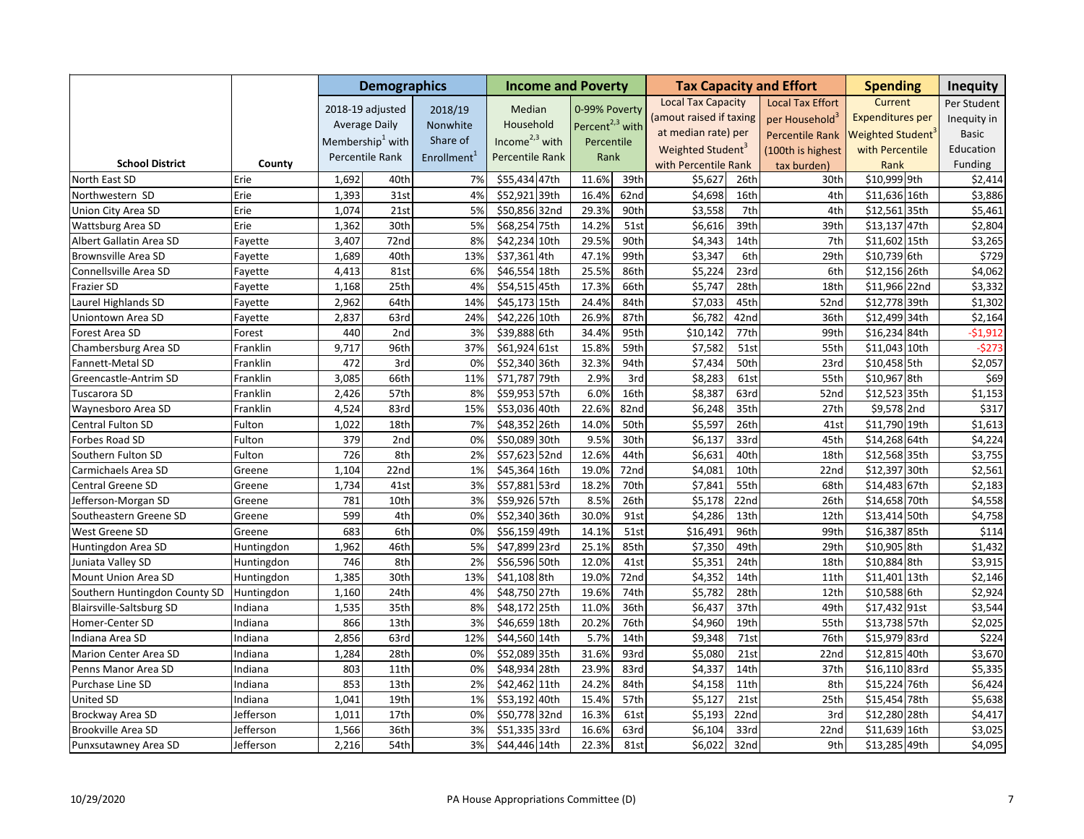|                                 |            |       | <b>Demographics</b>          |                         | <b>Income and Poverty</b> |                             |      |                               |                  | <b>Tax Capacity and Effort</b> | <b>Spending</b>         | <b>Inequity</b> |
|---------------------------------|------------|-------|------------------------------|-------------------------|---------------------------|-----------------------------|------|-------------------------------|------------------|--------------------------------|-------------------------|-----------------|
|                                 |            |       | 2018-19 adjusted             | 2018/19                 | Median                    | 0-99% Poverty               |      | <b>Local Tax Capacity</b>     |                  | <b>Local Tax Effort</b>        | Current                 | Per Student     |
|                                 |            |       | <b>Average Daily</b>         | Nonwhite                | Household                 | Percent <sup>2,3</sup> with |      | (amout raised if taxing       |                  | per Household <sup>3</sup>     | <b>Expenditures per</b> | Inequity in     |
|                                 |            |       | Membership <sup>1</sup> with | Share of                | Income $2,3$ with         |                             |      | at median rate) per           |                  | <b>Percentile Rank</b>         | Weighted Student        | <b>Basic</b>    |
|                                 |            |       |                              |                         |                           | Percentile                  |      | Weighted Student <sup>3</sup> |                  | (100th is highest              | with Percentile         | Education       |
| <b>School District</b>          | County     |       | Percentile Rank              | Enrollment <sup>1</sup> | Percentile Rank           | Rank                        |      | with Percentile Rank          |                  | tax burden)                    | Rank                    | Funding         |
| North East SD                   | Erie       | 1,692 | 40th                         | 7%                      | \$55,434 47th             | 11.6%                       | 39th | \$5,627                       | 26th             | 30th                           | \$10,999 9th            | \$2,414         |
| Northwestern SD                 | Erie       | 1,393 | 31st                         | 4%                      | \$52,921 39th             | 16.4%                       | 62nd | \$4,698                       | 16th             | 4th                            | \$11,636 16th           | \$3,886         |
| Union City Area SD              | Erie       | 1,074 | 21st                         | 5%                      | \$50,856 32nd             | 29.3%                       | 90th | \$3,558                       | 7th              | 4th                            | \$12,561 35th           | \$5,461         |
| Wattsburg Area SD               | Erie       | 1,362 | 30th                         | 5%                      | \$68,254 75th             | 14.2%                       | 51st | \$6,616                       | 39th             | 39th                           | \$13,137 47th           | \$2,804         |
| Albert Gallatin Area SD         | Fayette    | 3,407 | 72nd                         | 8%                      | \$42,234 10th             | 29.5%                       | 90th | \$4,343                       | 14th             | 7th                            | \$11,602 15th           | \$3,265         |
| Brownsville Area SD             | Fayette    | 1,689 | 40th                         | 13%                     | \$37,361 4th              | 47.1%                       | 99th | \$3,347                       | 6th              | 29th                           | \$10,739 6th            | \$729           |
| Connellsville Area SD           | Fayette    | 4,413 | 81st                         | 6%                      | \$46,554 18th             | 25.5%                       | 86th | \$5,224                       | 23rd             | 6th                            | \$12,156 26th           | \$4,062         |
| Frazier SD                      | Fayette    | 1,168 | 25th                         | 4%                      | \$54,515 45th             | 17.3%                       | 66th | \$5,747                       | 28th             | 18th                           | \$11,966 22nd           | \$3,332         |
| Laurel Highlands SD             | Fayette    | 2,962 | 64th                         | 14%                     | \$45,173 15th             | 24.4%                       | 84th | \$7,033                       | 45th             | 52nd                           | \$12,778 39th           | \$1,302         |
| Uniontown Area SD               | Fayette    | 2,837 | 63rd                         | 24%                     | \$42,226 10th             | 26.9%                       | 87th | \$6,782                       | 42 <sub>nd</sub> | 36th                           | \$12,499 34th           | \$2,164         |
| Forest Area SD                  | Forest     | 440   | 2nd                          | 3%                      | \$39,888 6th              | 34.4%                       | 95th | \$10,142                      | 77th             | 99th                           | \$16,234 84th           | $-51,912$       |
| Chambersburg Area SD            | Franklin   | 9,717 | 96th                         | 37%                     | \$61,924 61st             | 15.8%                       | 59th | \$7,582                       | 51st             | 55th                           | \$11,043 10th           | $-5273$         |
| Fannett-Metal SD                | Franklin   | 472   | 3rd                          | 0%                      | \$52,340 36th             | 32.3%                       | 94th | \$7,434                       | 50th             | 23rd                           | \$10,458 5th            | \$2,057         |
| Greencastle-Antrim SD           | Franklin   | 3,085 | 66th                         | 11%                     | \$71,787 79th             | 2.9%                        | 3rd  | \$8,283                       | 61st             | 55th                           | \$10,967 8th            | \$69            |
| Tuscarora SD                    | Franklin   | 2,426 | 57th                         | 8%                      | \$59,953 57th             | 6.0%                        | 16th | \$8,387                       | 63rd             | 52nd                           | \$12,523 35th           | \$1,153         |
| Waynesboro Area SD              | Franklin   | 4,524 | 83rd                         | 15%                     | \$53,036 40th             | 22.6%                       | 82nd | \$6,248                       | 35th             | 27th                           | \$9,578 2nd             | \$317           |
| Central Fulton SD               | Fulton     | 1,022 | 18th                         | 7%                      | \$48,352<br>26th          | 14.0%                       | 50th | \$5,597                       | 26th             | 41st                           | \$11,790 19th           | \$1,613         |
| Forbes Road SD                  | Fulton     | 379   | 2nd                          | 0%                      | \$50,089 30th             | 9.5%                        | 30th | \$6,137                       | 33rd             | 45th                           | \$14,268 64th           | \$4,224         |
| Southern Fulton SD              | Fulton     | 726   | 8th                          | 2%                      | \$57,623 52nd             | 12.6%                       | 44th | \$6,631                       | 40th             | 18th                           | \$12,568 35th           | \$3,755         |
| Carmichaels Area SD             | Greene     | 1,104 | 22nd                         | 1%                      | \$45,364 16th             | 19.0%                       | 72nd | \$4,081                       | 10th             | 22nd                           | \$12,397 30th           | \$2,561         |
| Central Greene SD               | Greene     | 1,734 | 41st                         | 3%                      | \$57,881 53rd             | 18.2%                       | 70th | \$7,841                       | 55th             | 68th                           | \$14,483 67th           | \$2,183         |
| Jefferson-Morgan SD             | Greene     | 781   | 10th                         | 3%                      | \$59,926 57th             | 8.5%                        | 26th | \$5,178                       | 22 <sub>nd</sub> | 26th                           | \$14,658 70th           | \$4,558         |
| Southeastern Greene SD          | Greene     | 599   | 4th                          | 0%                      | \$52,340 36th             | 30.0%                       | 91st | \$4,286                       | 13th             | 12th                           | \$13,414 50th           | \$4,758         |
| West Greene SD                  | Greene     | 683   | 6th                          | 0%                      | \$56,159 49th             | 14.1%                       | 51st | \$16,491                      | 96th             | 99th                           | \$16,387 85th           | \$114           |
| Huntingdon Area SD              | Huntingdon | 1,962 | 46th                         | 5%                      | \$47,899 23rd             | 25.1%                       | 85th | \$7,350                       | 49th             | 29th                           | \$10,905 8th            | \$1,432         |
| Juniata Valley SD               | Huntingdon | 746   | 8th                          | 2%                      | \$56,596 50th             | 12.0%                       | 41st | \$5,351                       | 24th             | 18th                           | \$10,884 8th            | \$3,915         |
| Mount Union Area SD             | Huntingdon | 1,385 | 30th                         | 13%                     | \$41,108 8th              | 19.0%                       | 72nd | \$4,352                       | 14th             | 11th                           | \$11,401 13th           | \$2,146         |
| Southern Huntingdon County SD   | Huntingdon | 1,160 | 24th                         | 4%                      | \$48,750 27th             | 19.6%                       | 74th | \$5,782                       | 28th             | 12th                           | \$10,588 6th            | \$2,924         |
| <b>Blairsville-Saltsburg SD</b> | Indiana    | 1,535 | 35th                         | 8%                      | \$48,172 25th             | 11.0%                       | 36th | \$6,437                       | 37th             | 49th                           | \$17,432 91st           | \$3,544         |
| Homer-Center SD                 | Indiana    | 866   | 13th                         | 3%                      | \$46,659 18th             | 20.2%                       | 76th | \$4,960                       | 19th             | 55th                           | \$13,738 57th           | \$2,025         |
| Indiana Area SD                 | Indiana    | 2,856 | 63rd                         | 12%                     | \$44,560 14th             | 5.7%                        | 14th | \$9,348                       | 71st             | 76th                           | \$15,979 83rd           | \$224           |
| Marion Center Area SD           | Indiana    | 1,284 | 28th                         | 0%                      | \$52,089 35th             | 31.6%                       | 93rd | \$5,080                       | 21st             | 22nd                           | \$12,815 40th           | \$3,670         |
| Penns Manor Area SD             | Indiana    | 803   | 11th                         | 0%                      | \$48,934 28th             | 23.9%                       | 83rd | \$4,337                       | 14th             | 37th                           | \$16,110 83rd           | \$5,335         |
| Purchase Line SD                | Indiana    | 853   | 13th                         | 2%                      | \$42,462 11th             | 24.2%                       | 84th | \$4,158                       | 11th             | 8th                            | \$15,224 76th           | \$6,424         |
| United SD                       | Indiana    | 1,041 | 19th                         | 1%                      | \$53,192 40th             | 15.4%                       | 57th | \$5,127                       | 21st             | 25th                           | \$15,454 78th           | \$5,638         |
| Brockway Area SD                | Jefferson  | 1,011 | 17th                         | 0%                      | \$50,778 32nd             | 16.3%                       | 61st | \$5,193                       | 22 <sub>nd</sub> | 3rd                            | \$12,280 28th           | \$4,417         |
| Brookville Area SD              | Jefferson  | 1,566 | 36th                         | 3%                      | \$51,335 33rd             | 16.6%                       | 63rd | \$6,104                       | 33rd             | 22nd                           | \$11,639 16th           | \$3,025         |
| Punxsutawney Area SD            | Jefferson  | 2,216 | 54th                         | 3%                      | \$44,446 14th             | 22.3%                       | 81st | \$6,022                       | 32nd             | 9th                            | \$13,285 49th           | \$4,095         |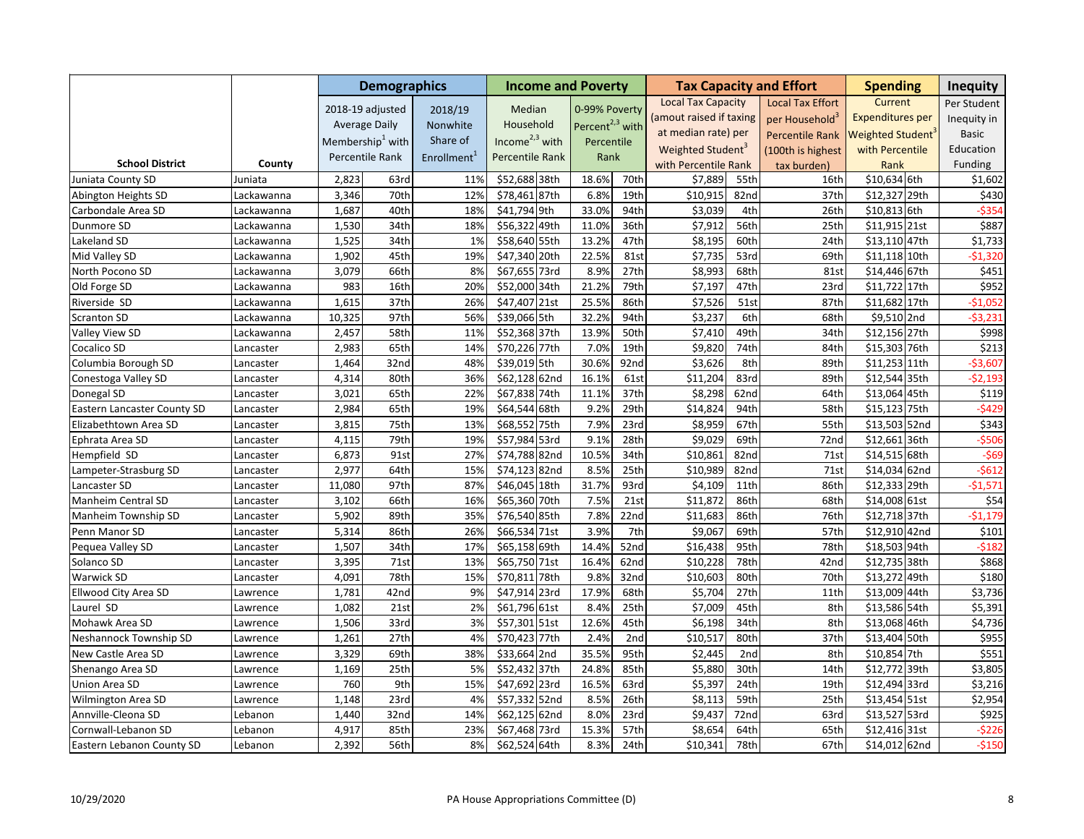|                                    |            |        | <b>Demographics</b>          |                         | <b>Income and Poverty</b> |                             |                   |                               |                 | <b>Tax Capacity and Effort</b> | <b>Spending</b>               | <b>Inequity</b> |
|------------------------------------|------------|--------|------------------------------|-------------------------|---------------------------|-----------------------------|-------------------|-------------------------------|-----------------|--------------------------------|-------------------------------|-----------------|
|                                    |            |        | 2018-19 adjusted             | 2018/19                 | Median                    | 0-99% Poverty               |                   | <b>Local Tax Capacity</b>     |                 | <b>Local Tax Effort</b>        | Current                       | Per Student     |
|                                    |            |        | <b>Average Daily</b>         | Nonwhite                | Household                 | Percent <sup>2,3</sup> with |                   | (amout raised if taxing       |                 | per Household <sup>3</sup>     | <b>Expenditures per</b>       | Inequity in     |
|                                    |            |        | Membership <sup>1</sup> with | Share of                | Income $2,3$ with         |                             |                   | at median rate) per           |                 | <b>Percentile Rank</b>         | Weighted Student <sup>®</sup> | <b>Basic</b>    |
|                                    |            |        |                              |                         |                           | Percentile                  |                   | Weighted Student <sup>3</sup> |                 | (100th is highest              | with Percentile               | Education       |
| <b>School District</b>             | County     |        | Percentile Rank              | Enrollment <sup>1</sup> | Percentile Rank           | Rank                        |                   | with Percentile Rank          |                 | tax burden)                    | Rank                          | Funding         |
| Juniata County SD                  | Juniata    | 2,823  | 63rd                         | 11%                     | \$52,688 38th             | 18.6%                       | 70th              | \$7,889                       | 55th            | 16th                           | \$10,634 6th                  | \$1,602         |
| Abington Heights SD                | Lackawanna | 3,346  | 70th                         | 12%                     | \$78,461 87th             | 6.8%                        | 19th              | \$10,915                      | 82nd            | 37th                           | \$12,327 29th                 | \$430           |
| Carbondale Area SD                 | Lackawanna | 1,687  | 40th                         | 18%                     | \$41,794 9th              | 33.0%                       | 94th              | \$3,039                       | 4th             | 26th                           | \$10,813 6th                  | $-5354$         |
| Dunmore SD                         | Lackawanna | 1,530  | 34th                         | 18%                     | \$56,322 49th             | 11.0%                       | 36th              | \$7,912                       | 56th            | 25th                           | \$11,915 21st                 | \$887           |
| Lakeland SD                        | Lackawanna | 1,525  | 34th                         | 1%                      | \$58,640 55th             | 13.2%                       | 47th              | \$8,195                       | 60th            | 24th                           | \$13,110 47th                 | \$1,733         |
| Mid Valley SD                      | Lackawanna | 1,902  | 45th                         | 19%                     | \$47,340 20th             | 22.5%                       | 81st              | \$7,735                       | 53rd            | 69th                           | \$11,118 10th                 | $-$1,320$       |
| North Pocono SD                    | Lackawanna | 3,079  | 66th                         | 8%                      | \$67,655 73rd             | 8.9%                        | 27th              | \$8,993                       | 68th            | 81st                           | \$14,446 67th                 | \$451           |
| Old Forge SD                       | Lackawanna | 983    | 16th                         | 20%                     | \$52,000 34th             | 21.2%                       | 79th              | \$7,197                       | 47th            | 23rd                           | \$11,722 17th                 | \$952           |
| Riverside SD                       | Lackawanna | 1,615  | 37th                         | 26%                     | \$47,407 21st             | 25.5%                       | 86th              | \$7,526                       | 51st            | 87th                           | \$11,682 17th                 | $-51,052$       |
| Scranton SD                        | Lackawanna | 10,325 | 97th                         | 56%                     | \$39,066 5th              | 32.2%                       | 94th              | \$3,237                       | 6th             | 68th                           | \$9,510 2nd                   | $-53,231$       |
| Valley View SD                     | Lackawanna | 2,457  | 58th                         | 11%                     | \$52,368 37th             | 13.9%                       | 50th              | \$7,410                       | 49th            | 34th                           | \$12,156 27th                 | \$998           |
| Cocalico SD                        | Lancaster  | 2,983  | 65th                         | 14%                     | \$70,226 77th             | 7.0%                        | 19th              | \$9,820                       | 74th            | 84th                           | \$15,303 76th                 | \$213           |
| Columbia Borough SD                | Lancaster  | 1,464  | 32nd                         | 48%                     | \$39,019 5th              | 30.6%                       | 92nd              | \$3,626                       | 8th             | 89th                           | \$11,253 11th                 | $-$3,607$       |
| Conestoga Valley SD                | Lancaster  | 4,314  | 80th                         | 36%                     | \$62,128 62nd             | 16.1%                       | 61st              | \$11,204                      | 83rd            | 89th                           | \$12,544 35th                 | $-52,193$       |
| Donegal SD                         | Lancaster  | 3,021  | 65th                         | 22%                     | \$67,838 74th             | 11.1%                       | 37th              | \$8,298                       | 62nd            | 64th                           | \$13,064 45th                 | \$119           |
| <b>Eastern Lancaster County SD</b> | Lancaster  | 2,984  | 65th                         | 19%                     | \$64,544 68th             | 9.2%                        | 29th              | \$14,824                      | 94th            | 58th                           | \$15,123 75th                 | $-5429$         |
| Elizabethtown Area SD              | Lancaster  | 3,815  | 75th                         | 13%                     | \$68,552 75th             | 7.9%                        | 23rd              | \$8,959                       | 67th            | 55th                           | \$13,503 52nd                 | \$343           |
| Ephrata Area SD                    | Lancaster  | 4,115  | 79th                         | 19%                     | \$57,984 53rd             | 9.1%                        | 28th              | \$9,029                       | 69th            | 72nd                           | \$12,661 36th                 | $-$ \$506       |
| Hempfield SD                       | Lancaster  | 6,873  | 91st                         | 27%                     | \$74,788 82nd             | 10.5%                       | 34th              | \$10,861                      | 82nd            | 71st                           | \$14,515 68th                 | $-569$          |
| Lampeter-Strasburg SD              | Lancaster  | 2,977  | 64th                         | 15%                     | \$74,123 82nd             | 8.5%                        | 25th              | \$10,989                      | 82nd            | 71st                           | \$14,034 62nd                 | $-5612$         |
| Lancaster SD                       | Lancaster  | 11,080 | 97th                         | 87%                     | \$46,045 18th             | 31.7%                       | 93rd              | \$4,109                       | 11th            | 86th                           | \$12,333 29th                 | $-$1,571$       |
| Manheim Central SD                 | Lancaster  | 3,102  | 66th                         | 16%                     | \$65,360 70th             | 7.5%                        | $\overline{21st}$ | \$11,872                      | 86th            | 68th                           | \$14,008 61st                 | \$54            |
| Manheim Township SD                | Lancaster  | 5,902  | 89th                         | 35%                     | \$76,540 85th             | 7.8%                        | 22 <sub>nd</sub>  | \$11,683                      | 86th            | 76th                           | \$12,718 37th                 | $-51,179$       |
| Penn Manor SD                      | Lancaster  | 5,314  | 86th                         | 26%                     | \$66,534 71st             | 3.9%                        | 7th               | \$9,067                       | 69th            | 57th                           | \$12,910 42nd                 | \$101           |
| Pequea Valley SD                   | Lancaster  | 1,507  | 34th                         | 17%                     | \$65,158 69th             | 14.4%                       | 52nd              | \$16,438                      | 95th            | 78th                           | \$18,503 94th                 | $-5182$         |
| Solanco SD                         | Lancaster  | 3,395  | 71st                         | 13%                     | \$65,750 71st             | 16.4%                       | 62nd              | \$10,228                      | 78th            | 42nd                           | \$12,735 38th                 | \$868           |
| Warwick SD                         | Lancaster  | 4,091  | 78th                         | 15%                     | \$70,811<br>78th          | 9.8%                        | 32nd              | \$10,603                      | 80th            | 70th                           | \$13,272 49th                 | \$180           |
| Ellwood City Area SD               | Lawrence   | 1,781  | 42nd                         | 9%                      | \$47,914 23rd             | 17.9%                       | 68th              | \$5,704                       | 27th            | 11th                           | \$13,009 44th                 | \$3,736         |
| Laurel SD                          | Lawrence   | 1,082  | 21st                         | 2%                      | \$61,796 61st             | 8.4%                        | 25th              | \$7,009                       | 45th            | 8th                            | \$13,586 54th                 | \$5,391         |
| Mohawk Area SD                     | Lawrence   | 1,506  | 33rd                         | 3%                      | \$57,301 51st             | 12.6%                       | 45th              | \$6,198                       | 34th            | 8th                            | \$13,068 46th                 | \$4,736         |
| Neshannock Township SD             | Lawrence   | 1,261  | 27th                         | 4%                      | \$70,423 77th             | 2.4%                        | 2nd               | \$10,517                      | 80th            | 37th                           | \$13,404 50th                 | \$955           |
| New Castle Area SD                 | Lawrence   | 3,329  | 69th                         | 38%                     | \$33,664 2nd              | 35.5%                       | 95th              | \$2,445                       | 2 <sub>nd</sub> | 8th                            | \$10,854 7th                  | \$551           |
| Shenango Area SD                   | Lawrence   | 1,169  | 25th                         | 5%                      | \$52,432<br>37th          | 24.8%                       | 85th              | \$5,880                       | 30th            | 14th                           | \$12,772 39th                 | \$3,805         |
| Union Area SD                      | Lawrence   | 760    | 9th                          | 15%                     | \$47,692 23rd             | 16.5%                       | 63rd              | \$5,397                       | 24th            | 19th                           | \$12,494 33rd                 | \$3,216         |
| Wilmington Area SD                 | _awrence   | 1,148  | 23rd                         | 4%                      | \$57,332 52nd             | 8.5%                        | 26th              | \$8,113                       | 59th            | 25th                           | \$13,454 51st                 | \$2,954         |
| Annville-Cleona SD                 | Lebanon    | 1,440  | 32nd                         | 14%                     | \$62,125 62nd             | 8.0%                        | 23rd              | \$9,437                       | 72nd            | 63rd                           | \$13,527 53rd                 | \$925           |
| Cornwall-Lebanon SD                | Lebanon    | 4,917  | 85th                         | 23%                     | \$67,468 73rd             | 15.3%                       | 57th              | \$8,654                       | 64th            | 65th                           | \$12,416 31st                 | $-5226$         |
| Eastern Lebanon County SD          | Lebanon    | 2,392  | 56th                         | 8%                      | \$62,524 64th             | 8.3%                        | 24th              | \$10,341                      | 78th            | 67th                           | \$14,012 62nd                 | $-5150$         |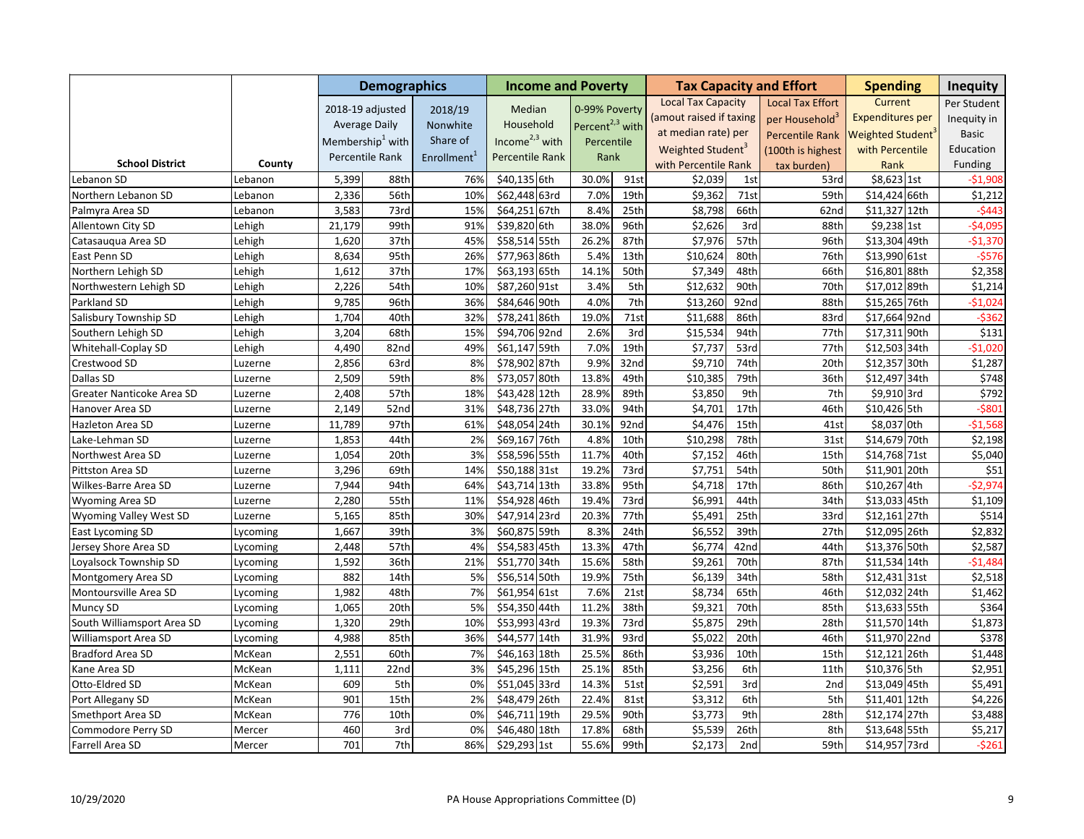|                            |          |        | <b>Demographics</b>          |                         | <b>Income and Poverty</b> |                             |      |                               |      | <b>Tax Capacity and Effort</b> | <b>Spending</b>               | <b>Inequity</b> |
|----------------------------|----------|--------|------------------------------|-------------------------|---------------------------|-----------------------------|------|-------------------------------|------|--------------------------------|-------------------------------|-----------------|
|                            |          |        | 2018-19 adjusted             | 2018/19                 | Median                    | 0-99% Poverty               |      | <b>Local Tax Capacity</b>     |      | <b>Local Tax Effort</b>        | Current                       | Per Student     |
|                            |          |        | <b>Average Daily</b>         | Nonwhite                | Household                 | Percent <sup>2,3</sup> with |      | (amout raised if taxing       |      | per Household <sup>3</sup>     | <b>Expenditures per</b>       | Inequity in     |
|                            |          |        | Membership <sup>1</sup> with | Share of                | Income $2,3$ with         |                             |      | at median rate) per           |      | <b>Percentile Rank</b>         | Weighted Student <sup>®</sup> | <b>Basic</b>    |
|                            |          |        |                              |                         |                           | Percentile                  |      | Weighted Student <sup>3</sup> |      | (100th is highest              | with Percentile               | Education       |
| <b>School District</b>     | County   |        | Percentile Rank              | Enrollment <sup>1</sup> | Percentile Rank           | Rank                        |      | with Percentile Rank          |      | tax burden)                    | Rank                          | Funding         |
| Lebanon SD                 | Lebanon  | 5,399  | 88th                         | 76%                     | \$40,135 6th              | 30.0%                       | 91st | \$2,039                       | 1st  | 53rd                           | \$8,623 1st                   | -\$1,908        |
| Northern Lebanon SD        | Lebanon  | 2,336  | 56th                         | 10%                     | \$62,448 63rd             | 7.0%                        | 19th | \$9,362                       | 71st | 59th                           | \$14,424 66th                 | \$1,212         |
| Palmyra Area SD            | Lebanon  | 3,583  | 73rd                         | 15%                     | \$64,251 67th             | 8.4%                        | 25th | \$8,798                       | 66th | 62nd                           | \$11,327 12th                 | $-5443$         |
| Allentown City SD          | Lehigh   | 21,179 | 99th                         | 91%                     | \$39,820 6th              | 38.0%                       | 96th | \$2,626                       | 3rd  | 88th                           | \$9,238 1st                   | $-$4,095$       |
| Catasaugua Area SD         | Lehigh   | 1,620  | 37th                         | 45%                     | \$58,514 55th             | 26.2%                       | 87th | \$7,976                       | 57th | 96th                           | \$13,304 49th                 | $-51,370$       |
| East Penn SD               | Lehigh   | 8,634  | 95th                         | 26%                     | \$77,963 86th             | 5.4%                        | 13th | \$10,624                      | 80th | 76th                           | \$13,990 61st                 | $-5576$         |
| Northern Lehigh SD         | Lehigh   | 1,612  | 37th                         | 17%                     | \$63,193 65th             | 14.1%                       | 50th | \$7,349                       | 48th | 66th                           | \$16,801 88th                 | \$2,358         |
| Northwestern Lehigh SD     | Lehigh   | 2,226  | 54th                         | 10%                     | \$87,260 91st             | 3.4%                        | 5th  | \$12,632                      | 90th | 70th                           | \$17,012 89th                 | \$1,214         |
| Parkland SD                | Lehigh   | 9,785  | 96th                         | 36%                     | \$84,646 90th             | 4.0%                        | 7th  | \$13,260                      | 92nd | 88th                           | \$15,265 76th                 | $-51,024$       |
| Salisbury Township SD      | ehigh.   | 1,704  | 40th                         | 32%                     | \$78,241 86th             | 19.0%                       | 71st | \$11,688                      | 86th | 83rd                           | \$17,664 92nd                 | $-5362$         |
| Southern Lehigh SD         | Lehigh   | 3,204  | 68th                         | 15%                     | \$94,706 92nd             | 2.6%                        | 3rd  | \$15,534                      | 94th | 77th                           | \$17,311 90th                 | \$131           |
| Whitehall-Coplay SD        | Lehigh   | 4,490  | 82nd                         | 49%                     | \$61,147 59th             | 7.0%                        | 19th | \$7,737                       | 53rd | 77th                           | \$12,503 34th                 | $-$1,020$       |
| Crestwood SD               | Luzerne  | 2,856  | 63rd                         | 8%                      | \$78,902 87th             | 9.9%                        | 32nd | \$9,710                       | 74th | 20th                           | \$12,357 30th                 | \$1,287         |
| Dallas SD                  | Luzerne  | 2,509  | 59th                         | 8%                      | \$73,057 80th             | 13.8%                       | 49th | \$10,385                      | 79th | 36th                           | \$12,497 34th                 | \$748           |
| Greater Nanticoke Area SD  | Luzerne  | 2,408  | 57th                         | 18%                     | \$43,428 12th             | 28.9%                       | 89th | \$3,850                       | 9th  | 7th                            | \$9,910 3rd                   | \$792           |
| Hanover Area SD            | Luzerne  | 2,149  | 52nd                         | 31%                     | \$48,736 27th             | 33.0%                       | 94th | \$4,701                       | 17th | 46th                           | \$10,426 5th                  | $-5801$         |
| Hazleton Area SD           | Luzerne  | 11,789 | 97th                         | 61%                     | \$48,054 24th             | 30.1%                       | 92nd | \$4,476                       | 15th | 41st                           | \$8,037 0th                   | $-$1,568$       |
| Lake-Lehman SD             | Luzerne  | 1,853  | 44th                         | 2%                      | \$69,167 76th             | 4.8%                        | 10th | \$10,298                      | 78th | 31st                           | \$14,679 70th                 | \$2,198         |
| Northwest Area SD          | Luzerne  | 1,054  | 20th                         | 3%                      | \$58,596 55th             | 11.7%                       | 40th | \$7,152                       | 46th | 15th                           | \$14,768 71st                 | \$5,040         |
| Pittston Area SD           | Luzerne  | 3,296  | 69th                         | 14%                     | \$50,188 31st             | 19.2%                       | 73rd | \$7,751                       | 54th | 50th                           | \$11,901 20th                 | \$51            |
| Wilkes-Barre Area SD       | Luzerne  | 7,944  | 94th                         | 64%                     | \$43,714 13th             | 33.8%                       | 95th | \$4,718                       | 17th | 86th                           | \$10,267 4th                  | $-52,974$       |
| Wyoming Area SD            | Luzerne  | 2,280  | 55th                         | 11%                     | \$54,928 46th             | 19.4%                       | 73rd | \$6,991                       | 44th | 34th                           | \$13,033 45th                 | \$1,109         |
| Wyoming Valley West SD     | Luzerne  | 5,165  | 85th                         | 30%                     | \$47,914 23rd             | 20.3%                       | 77th | \$5,491                       | 25th | 33rd                           | \$12,161 27th                 | \$514           |
| East Lycoming SD           | Lycoming | 1,667  | 39th                         | 3%                      | \$60,875 59th             | 8.3%                        | 24th | \$6,552                       | 39th | 27th                           | \$12,095 26th                 | \$2,832         |
| Jersey Shore Area SD       | ycoming. | 2,448  | 57th                         | 4%                      | \$54,583 45th             | 13.3%                       | 47th | \$6,774                       | 42nd | 44th                           | \$13,376 50th                 | \$2,587         |
| Loyalsock Township SD      | ycoming_ | 1,592  | 36th                         | 21%                     | \$51,770 34th             | 15.6%                       | 58th | \$9,261                       | 70th | 87th                           | \$11,534 14th                 | $-51,484$       |
| Montgomery Area SD         | Lycoming | 882    | 14th                         | 5%                      | \$56,514 50th             | 19.9%                       | 75th | \$6,139                       | 34th | 58th                           | \$12,431 31st                 | \$2,518         |
| Montoursville Area SD      | ycoming. | 1,982  | 48th                         | 7%                      | \$61,954 61st             | 7.6%                        | 21st | \$8,734                       | 65th | 46th                           | \$12,032 24th                 | \$1,462         |
| Muncy SD                   | Lycoming | 1,065  | 20th                         | 5%                      | \$54,350 44th             | 11.2%                       | 38th | \$9,321                       | 70th | 85th                           | \$13,633 55th                 | \$364           |
| South Williamsport Area SD | Lycoming | 1,320  | 29th                         | 10%                     | \$53,993 43rd             | 19.3%                       | 73rd | \$5,875                       | 29th | 28th                           | \$11,570 14th                 | \$1,873         |
| Williamsport Area SD       | Lycoming | 4,988  | 85th                         | 36%                     | \$44,577 14th             | 31.9%                       | 93rd | \$5,022                       | 20th | 46th                           | \$11,970 22nd                 | \$378           |
| <b>Bradford Area SD</b>    | McKean   | 2,551  | 60th                         | 7%                      | \$46,163 18th             | 25.5%                       | 86th | \$3,936                       | 10th | 15th                           | \$12,121 26th                 | \$1,448         |
| Kane Area SD               | McKean   | 1,111  | 22nd                         | 3%                      | \$45,296 15th             | 25.1%                       | 85th | \$3,256                       | 6th  | 11th                           | \$10,376 5th                  | \$2,951         |
| Otto-Eldred SD             | McKean   | 609    | 5th                          | 0%                      | \$51,045 33rd             | 14.3%                       | 51st | \$2,591                       | 3rd  | 2nd                            | \$13,049 45th                 | \$5,491         |
| Port Allegany SD           | McKean   | 901    | 15th                         | 2%                      | \$48,479 26th             | 22.4%                       | 81st | \$3,312                       | 6th  | 5th                            | \$11,401 12th                 | \$4,226         |
| Smethport Area SD          | McKean   | 776    | 10th                         | 0%                      | \$46,711<br>19th          | 29.5%                       | 90th | \$3,773                       | 9th  | 28th                           | \$12,174 27th                 | \$3,488         |
| Commodore Perry SD         | Mercer   | 460    | 3rd                          | 0%                      | \$46,480 18th             | 17.8%                       | 68th | \$5,539                       | 26th | 8th                            | \$13,648 55th                 | \$5,217         |
| Farrell Area SD            | Mercer   | 701    | 7th                          | 86%                     | \$29,293 1st              | 55.6%                       | 99th | \$2,173                       | 2nd  | 59th                           | \$14,957 73rd                 | $-5261$         |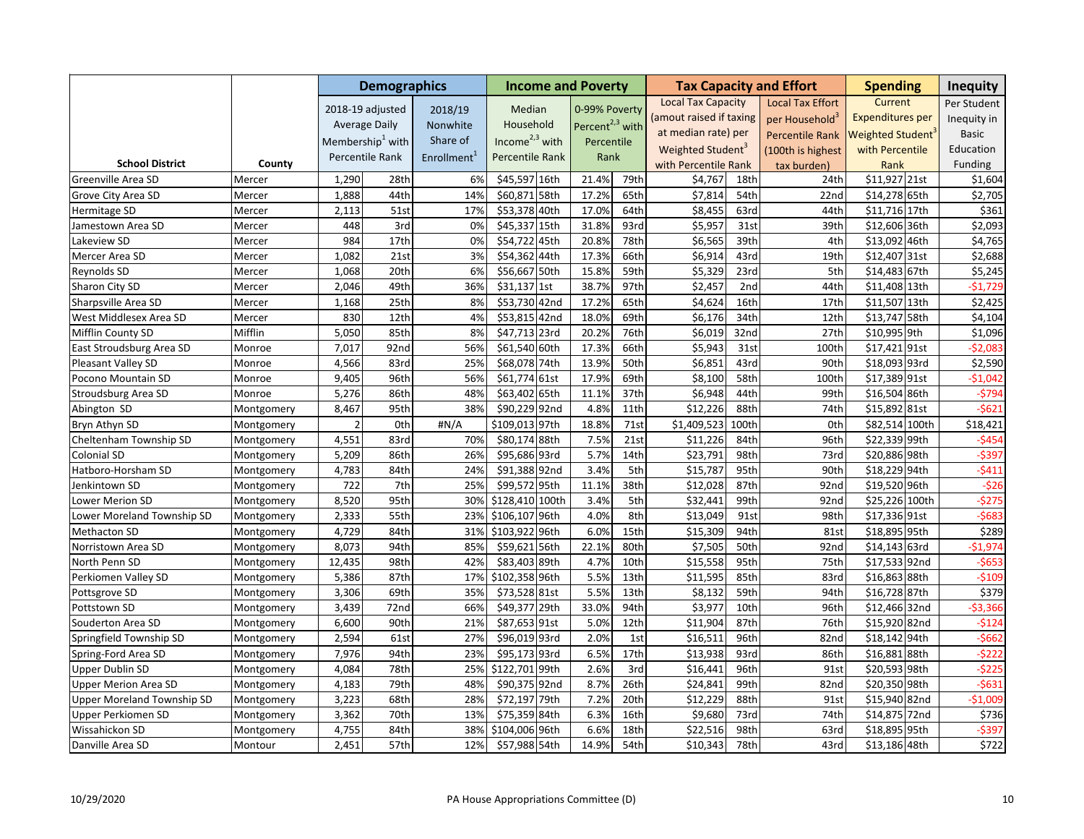|                                   |            |                | <b>Demographics</b>          |                         | <b>Income and Poverty</b> |                             |                  |                               |       | <b>Tax Capacity and Effort</b> | <b>Spending</b>         | <b>Inequity</b> |
|-----------------------------------|------------|----------------|------------------------------|-------------------------|---------------------------|-----------------------------|------------------|-------------------------------|-------|--------------------------------|-------------------------|-----------------|
|                                   |            |                | 2018-19 adjusted             | 2018/19                 | Median                    | 0-99% Poverty               |                  | <b>Local Tax Capacity</b>     |       | <b>Local Tax Effort</b>        | Current                 | Per Student     |
|                                   |            |                | <b>Average Daily</b>         | Nonwhite                | Household                 | Percent <sup>2,3</sup> with |                  | (amout raised if taxing       |       | per Household <sup>3</sup>     | <b>Expenditures per</b> | Inequity in     |
|                                   |            |                |                              | Share of                | Income $2,3$ with         |                             |                  | at median rate) per           |       | <b>Percentile Rank</b>         | Weighted Student        | <b>Basic</b>    |
|                                   |            |                | Membership <sup>1</sup> with |                         |                           | Percentile                  |                  | Weighted Student <sup>3</sup> |       | (100th is highest              | with Percentile         | Education       |
| <b>School District</b>            | County     |                | Percentile Rank              | Enrollment <sup>1</sup> | Percentile Rank           | Rank                        |                  | with Percentile Rank          |       | tax burden)                    | Rank                    | Funding         |
| Greenville Area SD                | Mercer     | 1,290          | 28th                         | 6%                      | \$45,597 16th             | 21.4%                       | 79th             | \$4,767                       | 18th  | 24th                           | \$11,927 21st           | \$1,604         |
| Grove City Area SD                | Mercer     | 1,888          | 44th                         | 14%                     | \$60,871 58th             | 17.2%                       | 65th             | \$7,814                       | 54th  | 22nd                           | \$14,278 65th           | \$2,705         |
| Hermitage SD                      | Mercer     | 2,113          | 51st                         | 17%                     | \$53,378 40th             | 17.0%                       | 64th             | \$8,455                       | 63rd  | 44th                           | \$11,716 17th           | \$361           |
| Jamestown Area SD                 | Mercer     | 448            | 3rd                          | 0%                      | \$45,337 15th             | 31.8%                       | 93rd             | \$5,957                       | 31st  | 39th                           | \$12,606 36th           | \$2,093         |
| Lakeview SD                       | Mercer     | 984            | 17th                         | 0%                      | \$54,722 45th             | 20.8%                       | 78th             | \$6,565                       | 39th  | 4th                            | \$13,092 46th           | \$4,765         |
| Mercer Area SD                    | Mercer     | 1,082          | 21st                         | 3%                      | \$54,362 44th             | 17.3%                       | 66th             | \$6,914                       | 43rd  | 19th                           | \$12,407 31st           | \$2,688         |
| Reynolds SD                       | Mercer     | 1,068          | 20th                         | 6%                      | \$56,667 50th             | 15.8%                       | 59th             | \$5,329                       | 23rd  | 5th                            | \$14,483 67th           | \$5,245         |
| Sharon City SD                    | Mercer     | 2,046          | 49th                         | 36%                     | \$31,137 1st              | 38.7%                       | 97th             | \$2,457                       | 2nd   | 44th                           | \$11,408 13th           | $-$1,729$       |
| Sharpsville Area SD               | Mercer     | 1,168          | 25th                         | 8%                      | \$53,730 42nd             | 17.2%                       | 65th             | \$4,624                       | 16th  | 17th                           | \$11,507 13th           | \$2,425         |
| West Middlesex Area SD            | Mercer     | 830            | 12th                         | 4%                      | $$53,815$ 42nd            | 18.0%                       | 69th             | \$6,176                       | 34th  | 12th                           | \$13,747 58th           | \$4,104         |
| Mifflin County SD                 | Mifflin    | 5,050          | 85th                         | 8%                      | \$47,713 23rd             | 20.2%                       | 76th             | \$6,019                       | 32nd  | 27th                           | \$10,995 9th            | \$1,096         |
| East Stroudsburg Area SD          | Monroe     | 7,017          | 92nd                         | 56%                     | \$61,540 60th             | 17.3%                       | 66th             | \$5,943                       | 31st  | 100th                          | \$17,421 91st           | $-52,083$       |
| Pleasant Valley SD                | Monroe     | 4,566          | 83rd                         | 25%                     | \$68,078 74th             | 13.9%                       | 50th             | \$6,851                       | 43rd  | 90th                           | \$18,093 93rd           | \$2,590         |
| Pocono Mountain SD                | Monroe     | 9,405          | 96th                         | 56%                     | \$61,774 61st             | 17.9%                       | 69th             | \$8,100                       | 58th  | 100th                          | \$17,389 91st           | $-51,042$       |
| Stroudsburg Area SD               | Monroe     | 5,276          | 86th                         | 48%                     | \$63,402 65th             | 11.1%                       | 37th             | \$6,948                       | 44th  | 99th                           | \$16,504 86th           | $-5794$         |
| Abington SD                       | Montgomery | 8,467          | 95th                         | 38%                     | \$90,229 92nd             | 4.8%                        | 11th             | \$12,226                      | 88th  | 74th                           | \$15,892 81st           | $-5621$         |
| Bryn Athyn SD                     | Montgomery | $\overline{2}$ | Oth                          | #N/A                    | \$109,013 97th            | 18.8%                       | 71st             | \$1,409,523                   | 100th | 0th                            | \$82,514 100th          | \$18,421        |
| Cheltenham Township SD            | Montgomery | 4,551          | 83rd                         | 70%                     | \$80,174 88th             | 7.5%                        | 21st             | \$11,226                      | 84th  | 96th                           | \$22,339 99th           | $-5454$         |
| Colonial SD                       | Montgomery | 5,209          | 86th                         | 26%                     | \$95,686 93rd             | 5.7%                        | 14th             | \$23,791                      | 98th  | 73rd                           | \$20,886 98th           | $-5397$         |
| Hatboro-Horsham SD                | Montgomery | 4,783          | 84th                         | 24%                     | \$91,388 92nd             | 3.4%                        | 5th              | \$15,787                      | 95th  | 90th                           | \$18,229 94th           | $-5411$         |
| Jenkintown SD                     | Montgomery | 722            | 7th                          | 25%                     | \$99,572 95th             | 11.1%                       | 38th             | \$12,028                      | 87th  | 92nd                           | \$19,520 96th           | $-526$          |
| Lower Merion SD                   | Montgomery | 8,520          | 95th                         | 30%                     | \$128,410 100th           | 3.4%                        | 5th              | \$32,441                      | 99th  | 92nd                           | \$25,226 100th          | $-5275$         |
| Lower Moreland Township SD        | Montgomery | 2,333          | 55th                         | 23%                     | \$106,107 96th            | 4.0%                        | 8th              | \$13,049                      | 91st  | 98th                           | \$17,336 91st           | $-5683$         |
| <b>Methacton SD</b>               | Montgomery | 4,729          | 84th                         | 31%                     | \$103,922<br>96th         | 6.0%                        | 15th             | \$15,309                      | 94th  | 81st                           | \$18,895 95th           | \$289           |
| Norristown Area SD                | Montgomery | 8,073          | 94th                         | 85%                     | \$59,621<br>56th          | 22.1%                       | 80th             | \$7,505                       | 50th  | 92nd                           | \$14,143 63rd           | $-$1,974$       |
| North Penn SD                     | Montgomery | 12,435         | 98th                         | 42%                     | \$83,403 89th             | 4.7%                        | 10th             | \$15,558                      | 95th  | 75th                           | \$17,533 92nd           | $-5653$         |
| Perkiomen Valley SD               | Montgomery | 5,386          | 87th                         | 17%                     | \$102,358 96th            | 5.5%                        | 13 <sub>th</sub> | \$11,595                      | 85th  | 83rd                           | \$16,863 88th           | $-5109$         |
| Pottsgrove SD                     | Montgomery | 3,306          | 69th                         | 35%                     | \$73,528 81st             | 5.5%                        | 13 <sub>th</sub> | \$8,132                       | 59th  | 94th                           | \$16,728 87th           | \$379           |
| Pottstown SD                      | Montgomery | 3,439          | 72nd                         | 66%                     | \$49,377 29th             | 33.0%                       | 94th             | \$3,977                       | 10th  | 96th                           | \$12,466 32nd           | $-$ \$3,366     |
| Souderton Area SD                 | Montgomery | 6,600          | 90th                         | 21%                     | \$87,653 91st             | 5.0%                        | 12th             | \$11,904                      | 87th  | 76th                           | \$15,920 82nd           | $-5124$         |
| Springfield Township SD           | Montgomery | 2,594          | 61st                         | 27%                     | \$96,019 93rd             | 2.0%                        | 1st              | \$16,511                      | 96th  | 82nd                           | \$18,142 94th           | $-5662$         |
| Spring-Ford Area SD               | Montgomery | 7,976          | 94th                         | 23%                     | \$95,173 93rd             | 6.5%                        | 17th             | \$13,938                      | 93rd  | 86th                           | \$16,881 88th           | $-5222$         |
| <b>Upper Dublin SD</b>            | Montgomery | 4,084          | 78th                         | 25%                     | \$122,701 99th            | 2.6%                        | 3rd              | \$16,441                      | 96th  | 91st                           | \$20,593 98th           | $-5225$         |
| <b>Upper Merion Area SD</b>       | Montgomery | 4,183          | 79th                         | 48%                     | \$90,375 92nd             | 8.7%                        | 26th             | \$24,841                      | 99th  | 82nd                           | \$20,350 98th           | $-5631$         |
| <b>Upper Moreland Township SD</b> | Montgomery | 3,223          | 68th                         | 28%                     | \$72,197 79th             | 7.2%                        | 20th             | \$12,229                      | 88th  | 91st                           | \$15,940 82nd           | $-$1,009$       |
| Upper Perkiomen SD                | Montgomery | 3,362          | 70th                         | 13%                     | \$75,359 84th             | 6.3%                        | 16th             | \$9,680                       | 73rd  | 74th                           | \$14,875 72nd           | \$736           |
| Wissahickon SD                    | Montgomery | 4,755          | 84th                         | 38%                     | \$104,006 96th            | 6.6%                        | 18th             | \$22,516                      | 98th  | 63rd                           | \$18,895 95th           | $-5397$         |
| Danville Area SD                  | Montour    | 2,451          | 57th                         | 12%                     | \$57,988 54th             | 14.9%                       | 54th             | \$10,343                      | 78th  | 43rd                           | \$13,186 48th           | \$722           |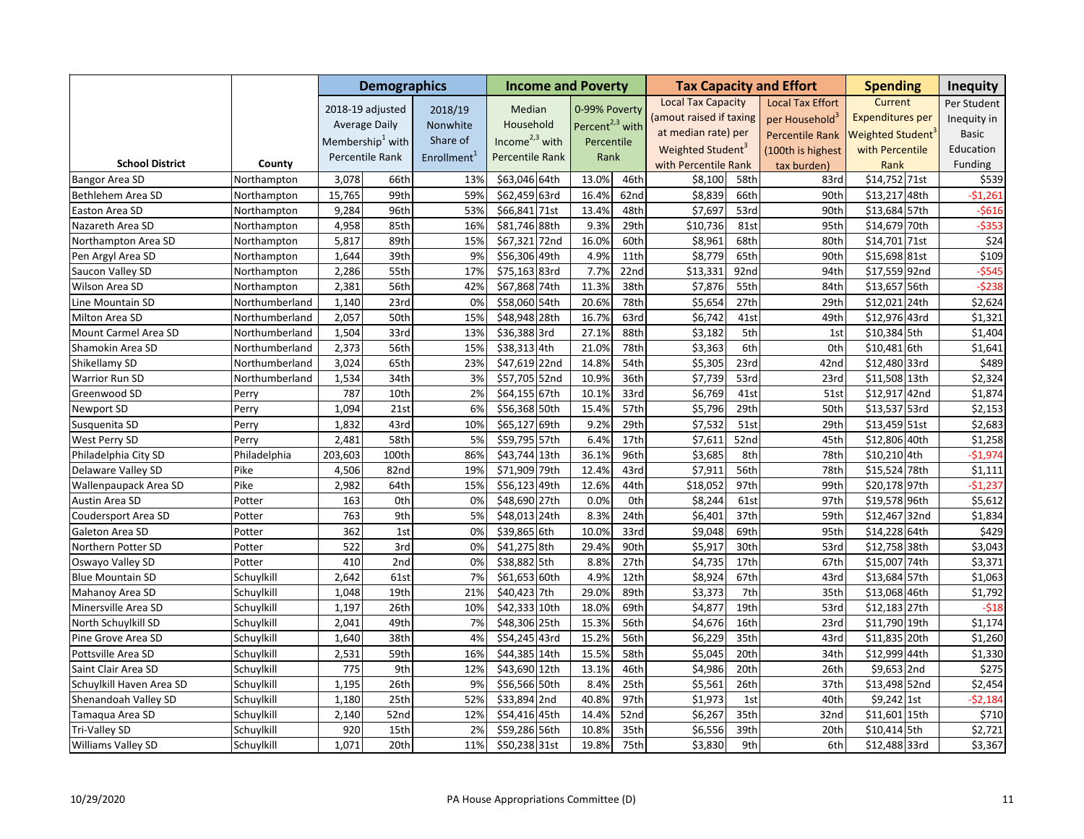|                          |                |         | <b>Demographics</b>          |                         | <b>Income and Poverty</b> |                             |      |                               |                   | <b>Tax Capacity and Effort</b> | <b>Spending</b>               |      | <b>Inequity</b>  |
|--------------------------|----------------|---------|------------------------------|-------------------------|---------------------------|-----------------------------|------|-------------------------------|-------------------|--------------------------------|-------------------------------|------|------------------|
|                          |                |         | 2018-19 adjusted             | 2018/19                 | Median                    | 0-99% Poverty               |      | <b>Local Tax Capacity</b>     |                   | <b>Local Tax Effort</b>        | Current                       |      | Per Student      |
|                          |                |         | <b>Average Daily</b>         | Nonwhite                | Household                 | Percent <sup>2,3</sup> with |      | (amout raised if taxing       |                   | per Household <sup>3</sup>     | <b>Expenditures per</b>       |      | Inequity in      |
|                          |                |         | Membership <sup>1</sup> with | Share of                | Income $2,3$ with         |                             |      | at median rate) per           |                   | <b>Percentile Rank</b>         | Weighted Student <sup>®</sup> |      | <b>Basic</b>     |
|                          |                |         |                              |                         |                           | Percentile                  |      | Weighted Student <sup>3</sup> |                   | (100th is highest              | with Percentile               |      | Education        |
| <b>School District</b>   | County         |         | Percentile Rank              | Enrollment <sup>1</sup> | Percentile Rank           | Rank                        |      | with Percentile Rank          |                   | tax burden)                    | Rank                          |      | Funding          |
| Bangor Area SD           | Northampton    | 3,078   | 66th                         | 13%                     | \$63,046 64th             | 13.0%                       | 46th | \$8,100                       | 58th              | 83rd                           | \$14,752 71st                 |      | \$539            |
| Bethlehem Area SD        | Northampton    | 15,765  | 99th                         | 59%                     | \$62,459 63rd             | 16.4%                       | 62nd | \$8,839                       | 66th              | 90th                           | \$13,217 48th                 |      | $-51,261$        |
| Easton Area SD           | Northampton    | 9,284   | 96th                         | 53%                     | \$66,841 71st             | 13.4%                       | 48th | \$7,697                       | 53rd              | 90th                           | \$13,684 57th                 |      | $-5616$          |
| Nazareth Area SD         | Northampton    | 4,958   | 85th                         | 16%                     | \$81,746 88th             | 9.3%                        | 29th | \$10,736                      | 81st              | 95th                           | \$14,679 70th                 |      | $-5353$          |
| Northampton Area SD      | Northampton    | 5,817   | 89th                         | 15%                     | 72nd<br>\$67,321          | 16.0%                       | 60th | \$8,961                       | 68th              | 80th                           | \$14,701 71st                 |      | $\overline{$}24$ |
| Pen Argyl Area SD        | Northampton    | 1,644   | 39th                         | 9%                      | \$56,306 49th             | 4.9%                        | 11th | \$8,779                       | 65th              | 90th                           | \$15,698 81st                 |      | \$109            |
| Saucon Valley SD         | Northampton    | 2,286   | 55th                         | 17%                     | \$75,163 83rd             | 7.7%                        | 22nd | \$13,331                      | 92nd              | 94th                           | \$17,559 92nd                 |      | $-5545$          |
| Wilson Area SD           | Northampton    | 2,381   | 56th                         | 42%                     | \$67,868 74th             | 11.3%                       | 38th | \$7,876                       | 55th              | 84th                           | \$13,657 56th                 |      | $-5238$          |
| Line Mountain SD         | Northumberland | 1,140   | 23rd                         | 0%                      | \$58,060 54th             | 20.6%                       | 78th | \$5,654                       | 27th              | 29th                           | \$12,021 24th                 |      | \$2,624          |
| Milton Area SD           | Northumberland | 2,057   | 50th                         | 15%                     | \$48,948 28th             | 16.7%                       | 63rd | \$6,742                       | 41st              | 49th                           | \$12,976 43rd                 |      | \$1,321          |
| Mount Carmel Area SD     | Northumberland | 1,504   | 33rd                         | 13%                     | \$36,388 3rd              | 27.1%                       | 88th | \$3,182                       | 5th               | 1st                            | \$10,384 5th                  |      | \$1,404          |
| Shamokin Area SD         | Northumberland | 2,373   | 56th                         | 15%                     | \$38,313 4th              | 21.0%                       | 78th | \$3,363                       | 6th               | 0 <sub>th</sub>                | \$10,481 6th                  |      | \$1,641          |
| Shikellamy SD            | Northumberland | 3,024   | 65th                         | 23%                     | \$47,619 22nd             | 14.8%                       | 54th | \$5,305                       | 23rd              | 42nd                           | \$12,480 33rd                 |      | \$489            |
| Warrior Run SD           | Northumberland | 1,534   | 34th                         | 3%                      | \$57,705 52nd             | 10.9%                       | 36th | \$7,739                       | 53rd              | 23rd                           | \$11,508 13th                 |      | \$2,324          |
| Greenwood SD             | Perry          | 787     | 10th                         | 2%                      | \$64,155 67th             | 10.1%                       | 33rd | \$6,769                       | 41st              | 51st                           | \$12,917 42nd                 |      | \$1,874          |
| Newport SD               | Perry          | 1,094   | 21st                         | 6%                      | \$56,368 50th             | 15.4%                       | 57th | \$5,796                       | 29th              | 50th                           | \$13,537 53rd                 |      | \$2,153          |
| Susquenita SD            | Perry          | 1,832   | 43rd                         | 10%                     | \$65,127 69th             | 9.2%                        | 29th | \$7,532                       | 51st              | 29th                           | \$13,459 51st                 |      | \$2,683          |
| West Perry SD            | Perry          | 2,481   | 58th                         | 5%                      | \$59,795 57th             | 6.4%                        | 17th | \$7,611                       | 52nd              | 45th                           | \$12,806 40th                 |      | \$1,258          |
| Philadelphia City SD     | Philadelphia   | 203,603 | 100th                        | 86%                     | \$43,744 13th             | 36.1%                       | 96th | \$3,685                       | 8th               | 78th                           | \$10,210 4th                  |      | $-$1,974$        |
| Delaware Valley SD       | Pike           | 4,506   | 82nd                         | 19%                     | \$71,909 79th             | 12.4%                       | 43rd | \$7,911                       | 56th              | 78th                           | \$15,524 78th                 |      | \$1,111          |
| Wallenpaupack Area SD    | Pike           | 2,982   | 64th                         | 15%                     | \$56,123 49th             | 12.6%                       | 44th | \$18,052                      | 97th              | 99th                           | \$20,178 97th                 |      | $-$1,237$        |
| Austin Area SD           | Potter         | 163     | 0th                          | 0%                      | \$48,690 27th             | 0.0%                        | 0th  | \$8,244                       | $\overline{61st}$ | 97th                           | \$19,578 96th                 |      | \$5,612          |
| Coudersport Area SD      | Potter         | 763     | 9th                          | 5%                      | \$48,013 24th             | 8.3%                        | 24th | \$6,401                       | 37th              | 59th                           | \$12,467 32nd                 |      | \$1,834          |
| Galeton Area SD          | Potter         | 362     | 1st                          | 0%                      | \$39,865 6th              | 10.0%                       | 33rd | \$9,048                       | 69th              | 95th                           | \$14,228 64th                 |      | \$429            |
| Northern Potter SD       | Potter         | 522     | 3rd                          | 0%                      | \$41,275 8th              | 29.4%                       | 90th | \$5,917                       | 30th              | 53rd                           | \$12,758 38th                 |      | \$3,043          |
| Oswayo Valley SD         | Potter         | 410     | 2nd                          | 0%                      | \$38,882 5th              | 8.8%                        | 27th | \$4,735                       | 17th              | 67th                           | \$15,007 74th                 |      | \$3,371          |
| <b>Blue Mountain SD</b>  | Schuylkill     | 2,642   | 61st                         | 7%                      | \$61,653 60th             | 4.9%                        | 12th | \$8,924                       | 67th              | 43rd                           | \$13,684 57th                 |      | \$1,063          |
| Mahanoy Area SD          | Schuylkill     | 1,048   | 19th                         | 21%                     | \$40,423 7th              | 29.0%                       | 89th | \$3,373                       | 7th               | 35th                           | \$13,068 46th                 |      | \$1,792          |
| Minersville Area SD      | Schuylkill     | 1,197   | 26th                         | 10%                     | \$42,333 10th             | 18.0%                       | 69th | \$4,87                        | 19th              | 53rd                           | \$12,183 27th                 |      | $-518$           |
| North Schuylkill SD      | Schuylkill     | 2,041   | 49th                         | 7%                      | \$48,306 25th             | 15.3%                       | 56th | \$4,676                       | 16th              | 23rd                           | \$11,790 19th                 |      | \$1,174          |
| Pine Grove Area SD       | Schuylkill     | 1,640   | 38th                         | 4%                      | \$54,245 43rd             | 15.2%                       | 56th | \$6,229                       | 35th              | 43rd                           | \$11,835 20th                 |      | \$1,260          |
| Pottsville Area SD       | Schuylkill     | 2,531   | 59th                         | 16%                     | \$44,385 14th             | 15.5%                       | 58th | \$5,045                       | 20th              | 34th                           | \$12,999 44th                 |      | \$1,330          |
| Saint Clair Area SD      | Schuylkill     | 775     | 9th                          | 12%                     | \$43,690 12th             | 13.1%                       | 46th | \$4,986                       | 20th              | 26th                           | \$9,653 2nd                   |      | \$275            |
| Schuylkill Haven Area SD | Schuylkill     | 1,195   | 26th                         | 9%                      | \$56,566 50th             | 8.4%                        | 25th | \$5,561                       | 26th              | 37th                           | \$13,498 52nd                 |      | \$2,454          |
| Shenandoah Valley SD     | Schuylkill     | 1,180   | 25th                         | 52%                     | \$33,894 2nd              | 40.8%                       | 97th | \$1,973                       | 1st               | 40th                           | \$9,242 1st                   |      | $-52,184$        |
| Tamaqua Area SD          | Schuylkill     | 2,140   | 52nd                         | 12%                     | \$54,416 45th             | 14.4%                       | 52nd | \$6,267                       | 35th              | 32nd                           | \$11,601                      | 15th | \$710            |
| Tri-Valley SD            | Schuylkill     | 920     | 15th                         | 2%                      | \$59,286 56th             | 10.8%                       | 35th | \$6,556                       | 39th              | 20th                           | \$10,414 5th                  |      | \$2,721          |
| Williams Valley SD       | Schuylkill     | 1,071   | 20th                         | 11%                     | \$50,238 31st             | 19.8%                       | 75th | \$3,830                       | 9th               | 6th                            | \$12,488 33rd                 |      | \$3,367          |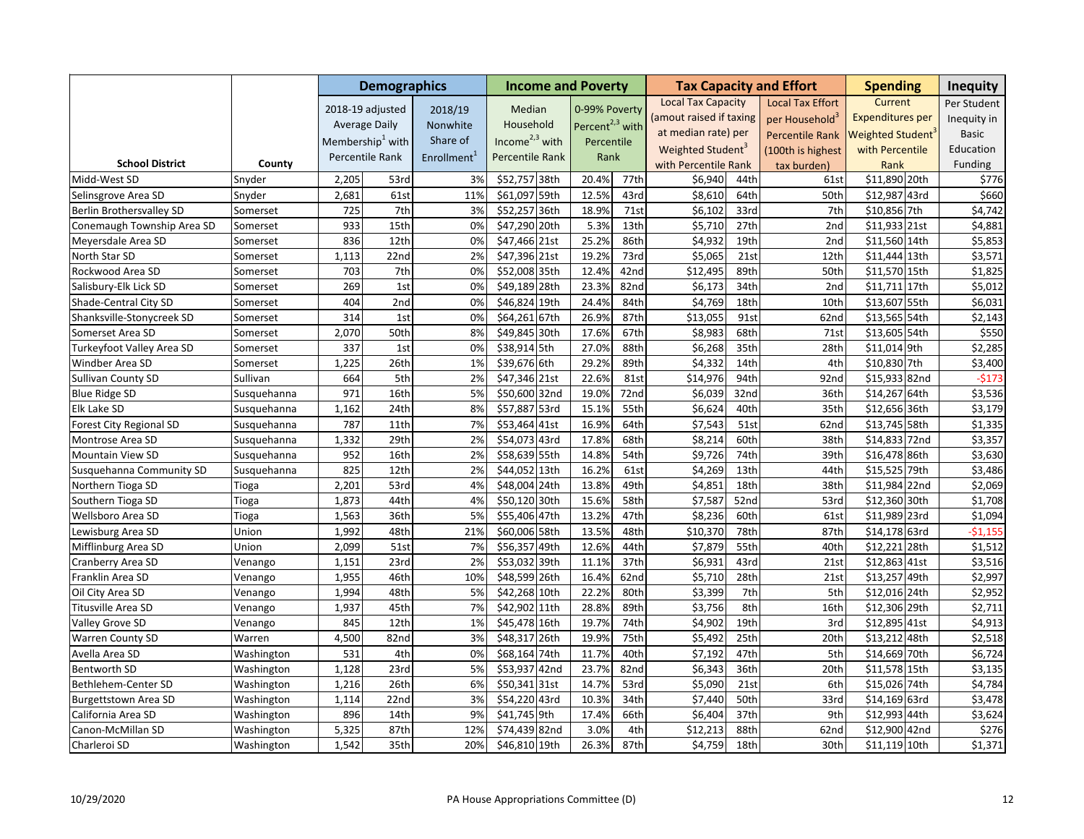|                             |             |       | <b>Demographics</b>  |                         | <b>Income and Poverty</b> |                             |                  |                               |                  | <b>Tax Capacity and Effort</b> | <b>Spending</b>         |      | <b>Inequity</b> |
|-----------------------------|-------------|-------|----------------------|-------------------------|---------------------------|-----------------------------|------------------|-------------------------------|------------------|--------------------------------|-------------------------|------|-----------------|
|                             |             |       | 2018-19 adjusted     | 2018/19                 | Median                    | 0-99% Poverty               |                  | <b>Local Tax Capacity</b>     |                  | <b>Local Tax Effort</b>        | Current                 |      | Per Student     |
|                             |             |       | <b>Average Daily</b> | Nonwhite                | Household                 | Percent <sup>2,3</sup> with |                  | (amout raised if taxing       |                  | per Household <sup>3</sup>     | <b>Expenditures per</b> |      | Inequity in     |
|                             |             |       | Membership $^1$ with | Share of                | Income $2,3$ with         |                             |                  | at median rate) per           |                  | <b>Percentile Rank</b>         | Weighted Student        |      | <b>Basic</b>    |
|                             |             |       |                      |                         |                           | Percentile                  |                  | Weighted Student <sup>3</sup> |                  | (100th is highest              | with Percentile         |      | Education       |
| <b>School District</b>      | County      |       | Percentile Rank      | Enrollment <sup>1</sup> | Percentile Rank           | Rank                        |                  | with Percentile Rank          |                  | tax burden)                    | Rank                    |      | Funding         |
| Midd-West SD                | Snyder      | 2,205 | 53rd                 | 3%                      | \$52,757 38th             | 20.4%                       | 77th             | \$6,940                       | 44th             | 61st                           | \$11,890 20th           |      | \$776           |
| Selinsgrove Area SD         | Snyder      | 2,681 | 61st                 | 11%                     | \$61,097 59th             | 12.5%                       | 43rd             | \$8,610                       | 64th             | 50th                           | \$12,987 43rd           |      | \$660           |
| Berlin Brothersvalley SD    | Somerset    | 725   | 7th                  | 3%                      | \$52,257 36th             | 18.9%                       | 71st             | \$6,102                       | 33rd             | 7th                            | \$10,856 7th            |      | \$4,742         |
| Conemaugh Township Area SD  | Somerset    | 933   | 15th                 | 0%                      | \$47,290 20th             | 5.3%                        | 13 <sub>th</sub> | \$5,710                       | 27th             | 2nd                            | \$11,933 21st           |      | \$4,881         |
| Meyersdale Area SD          | Somerset    | 836   | 12th                 | 0%                      | \$47,466 21st             | 25.2%                       | 86th             | \$4,932                       | 19th             | 2nd                            | \$11,560 14th           |      | \$5,853         |
| North Star SD               | Somerset    | 1,113 | 22 <sub>nd</sub>     | 2%                      | \$47,396 21st             | 19.2%                       | 73rd             | \$5,065                       | 21st             | 12th                           | \$11,444 13th           |      | \$3,571         |
| Rockwood Area SD            | Somerset    | 703   | 7th                  | 0%                      | \$52,008 35th             | 12.4%                       | 42nd             | \$12,495                      | 89th             | 50th                           | \$11,570 15th           |      | \$1,825         |
| Salisbury-Elk Lick SD       | Somerset    | 269   | 1st                  | 0%                      | \$49,189 28th             | 23.3%                       | 82nd             | \$6,173                       | 34th             | 2nd                            | \$11,711 17th           |      | \$5,012         |
| Shade-Central City SD       | Somerset    | 404   | 2nd                  | 0%                      | \$46,824 19th             | 24.4%                       | 84th             | \$4,769                       | 18th             | 10th                           | \$13,607 55th           |      | \$6,031         |
| Shanksville-Stonycreek SD   | Somerset    | 314   | 1st                  | 0%                      | \$64,261 67th             | 26.9%                       | 87th             | \$13,055                      | 91st             | 62nd                           | \$13,565 54th           |      | \$2,143         |
| Somerset Area SD            | Somerset    | 2,070 | 50th                 | 8%                      | \$49,845 30th             | 17.6%                       | 67th             | \$8,983                       | 68th             | 71st                           | \$13,605 54th           |      | \$550           |
| Turkeyfoot Valley Area SD   | Somerset    | 337   | 1st                  | 0%                      | \$38,914 5th              | 27.0%                       | 88th             | \$6,268                       | 35th             | 28th                           | \$11,014 9th            |      | \$2,285         |
| Windber Area SD             | Somerset    | 1,225 | 26th                 | 1%                      | \$39,676 6th              | 29.2%                       | 89th             | \$4,332                       | 14th             | 4th                            | \$10,830 7th            |      | \$3,400         |
| Sullivan County SD          | Sullivan    | 664   | 5th                  | 2%                      | \$47,346 21st             | 22.6%                       | 81st             | \$14,976                      | 94th             | 92nd                           | $515,933$ 82nd          |      | $-5173$         |
| <b>Blue Ridge SD</b>        | Susquehanna | 971   | 16th                 | 5%                      | \$50,600 32nd             | 19.0%                       | 72nd             | \$6,039                       | 32nd             | 36th                           | \$14,267 64th           |      | \$3,536         |
| Elk Lake SD                 | Susquehanna | 1,162 | 24th                 | 8%                      | \$57,887 53rd             | 15.1%                       | 55th             | \$6,624                       | 40th             | 35th                           | \$12,656 36th           |      | \$3,179         |
| Forest City Regional SD     | Susquehanna | 787   | 11th                 | 7%                      | \$53,464 41st             | 16.9%                       | 64th             | \$7,543                       | 51st             | 62nd                           | \$13,745 58th           |      | \$1,335         |
| Montrose Area SD            | Susquehanna | 1,332 | 29th                 | 2%                      | \$54,073 43rd             | 17.8%                       | 68th             | \$8,214                       | 60th             | 38th                           | \$14,833 72nd           |      | \$3,357         |
| Mountain View SD            | Susquehanna | 952   | 16th                 | 2%                      | \$58,639 55th             | 14.8%                       | 54th             | \$9,726                       | 74th             | 39th                           | \$16,478 86th           |      | \$3,630         |
| Susquehanna Community SD    | Susquehanna | 825   | 12th                 | 2%                      | \$44,052 13th             | 16.2%                       | 61st             | \$4,269                       | 13th             | 44th                           | \$15,525 79th           |      | \$3,486         |
| Northern Tioga SD           | Tioga       | 2,201 | 53rd                 | 4%                      | \$48,004 24th             | 13.8%                       | 49th             | \$4,851                       | 18th             | 38th                           | \$11,984 22nd           |      | \$2,069         |
| Southern Tioga SD           | Tioga       | 1,873 | 44th                 | 4%                      | \$50,120 30th             | 15.6%                       | 58th             | \$7,587                       | 52nd             | 53rd                           | \$12,360 30th           |      | \$1,708         |
| Wellsboro Area SD           | Tioga       | 1,563 | 36th                 | 5%                      | \$55,406 47th             | 13.2%                       | 47th             | \$8,236                       | 60th             | 61st                           | \$11,989 23rd           |      | \$1,094         |
| Lewisburg Area SD           | Union       | 1,992 | 48th                 | 21%                     | \$60,006 58th             | 13.5%                       | 48th             | \$10,370                      | 78th             | 87th                           | \$14,178 63rd           |      | $-$1,155$       |
| Mifflinburg Area SD         | Union       | 2,099 | 51st                 | 7%                      | \$56,357 49th             | 12.6%                       | 44th             | \$7,879                       | 55th             | 40th                           | \$12,221                | 28th | \$1,512         |
| Cranberry Area SD           | Venango     | 1,151 | 23rd                 | 2%                      | \$53,032 39th             | 11.1%                       | 37th             | \$6,931                       | 43rd             | 21st                           | \$12,863 41st           |      | \$3,516         |
| Franklin Area SD            | Venango     | 1,955 | 46th                 | 10%                     | \$48,599 26th             | 16.4%                       | 62nd             | \$5,710                       | 28th             | 21st                           | \$13,257 49th           |      | \$2,997         |
| Oil City Area SD            | Venango     | 1,994 | 48th                 | 5%                      | \$42,268 10th             | 22.2%                       | 80th             | \$3,399                       | 7th              | 5th                            | \$12,016 24th           |      | \$2,952         |
| Titusville Area SD          | Venango     | 1,937 | 45th                 | 7%                      | \$42,902 11th             | 28.8%                       | 89th             | \$3,756                       | 8th              | 16th                           | \$12,306 29th           |      | \$2,711         |
| Valley Grove SD             | Venango     | 845   | 12th                 | 1%                      | \$45,478 16th             | 19.7%                       | 74th             | \$4,902                       | 19th             | 3rd                            | \$12,895 41st           |      | \$4,913         |
| <b>Warren County SD</b>     | Warren      | 4,500 | 82nd                 | 3%                      | \$48,317 26th             | 19.9%                       | 75th             | \$5,492                       | 25th             | 20th                           | \$13,212 48th           |      | \$2,518         |
| Avella Area SD              | Washington  | 531   | 4th                  | 0%                      | \$68,164 74th             | 11.7%                       | 40th             | \$7,192                       | 47th             | 5th                            | \$14,669 70th           |      | \$6,724         |
| Bentworth SD                | Washington  | 1,128 | 23rd                 | 5%                      | \$53,937<br>42nd          | 23.7%                       | 82nd             | \$6,343                       | 36th             | 20th                           | \$11,578 15th           |      | \$3,135         |
| Bethlehem-Center SD         | Washington  | 1,216 | 26th                 | 6%                      | \$50,341 31st             | 14.7%                       | 53rd             | \$5,090                       | 21st             | 6th                            | \$15,026 74th           |      | \$4,784         |
| <b>Burgettstown Area SD</b> | Washington  | 1,114 | 22 <sub>nd</sub>     | 3%                      | \$54,220 43rd             | 10.3%                       | 34th             | \$7,440                       | 50 <sub>th</sub> | 33rd                           | \$14,169 63rd           |      | \$3,478         |
| California Area SD          | Washington  | 896   | 14th                 | 9%                      | \$41,745 9th              | 17.4%                       | 66th             | \$6,404                       | 37th             | 9th                            | \$12,993 44th           |      | \$3,624         |
| Canon-McMillan SD           | Washington  | 5,325 | 87th                 | 12%                     | \$74,439 82nd             | 3.0%                        | 4th              | \$12,213                      | 88th             | 62nd                           | \$12,900 42nd           |      | \$276           |
| Charleroi SD                | Washington  | 1,542 | 35th                 | 20%                     | \$46,810 19th             | 26.3%                       | 87th             | \$4,759                       | 18th             | 30th                           | \$11,119 10th           |      | \$1,371         |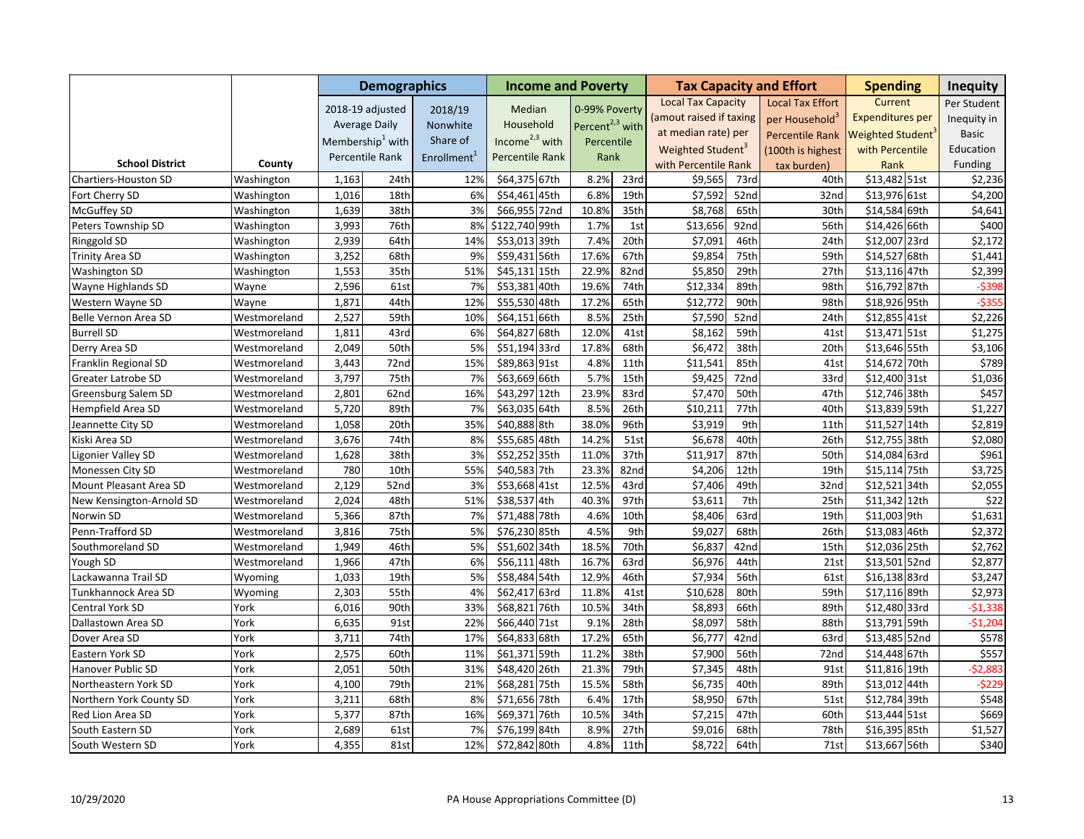|                          |              | <b>Demographics</b>          |      |                         | <b>Income and Poverty</b> |                             |      |                               | <b>Tax Capacity and Effort</b> | <b>Spending</b>            |                               | <b>Inequity</b> |                  |
|--------------------------|--------------|------------------------------|------|-------------------------|---------------------------|-----------------------------|------|-------------------------------|--------------------------------|----------------------------|-------------------------------|-----------------|------------------|
|                          |              | 2018-19 adjusted             |      | 2018/19                 | Median                    | 0-99% Poverty               |      | <b>Local Tax Capacity</b>     |                                | <b>Local Tax Effort</b>    | Current                       |                 | Per Student      |
|                          |              | <b>Average Daily</b>         |      | Nonwhite                | Household                 | Percent <sup>2,3</sup> with |      | (amout raised if taxing       |                                | per Household <sup>3</sup> | <b>Expenditures per</b>       |                 | Inequity in      |
|                          |              | Membership <sup>1</sup> with |      | Share of                | Income $2,3$ with         |                             |      | at median rate) per           |                                | <b>Percentile Rank</b>     | Weighted Student <sup>®</sup> |                 | <b>Basic</b>     |
|                          |              |                              |      |                         |                           | Percentile<br>Rank          |      | Weighted Student <sup>3</sup> |                                | (100th is highest          | with Percentile               |                 | Education        |
| <b>School District</b>   | County       | Percentile Rank              |      | Enrollment <sup>1</sup> | Percentile Rank           |                             |      | with Percentile Rank          |                                | tax burden)                | Rank                          |                 | Funding          |
| Chartiers-Houston SD     | Washington   | 1,163                        | 24th | 12%                     | \$64,375 67th             | 8.2%                        | 23rd | \$9,565                       | 73rd                           | 40th                       | \$13,482 51st                 |                 | \$2,236          |
| Fort Cherry SD           | Washington   | 1,016                        | 18th | 6%                      | \$54,461 45th             | 6.8%                        | 19th | \$7,592                       | 52nd                           | 32nd                       | \$13,976 61st                 |                 | \$4,200          |
| McGuffey SD              | Washington   | 1,639                        | 38th | 3%                      | \$66,955 72nd             | 10.8%                       | 35th | \$8,768                       | 65th                           | 30th                       | \$14,584 69th                 |                 | \$4,641          |
| Peters Township SD       | Washington   | 3,993                        | 76th | 8%                      | \$122,740 99th            | 1.7%                        | 1st  | \$13,656                      | 92nd                           | 56th                       | \$14,426 66th                 |                 | \$400            |
| Ringgold SD              | Washington   | 2,939                        | 64th | 14%                     | \$53,013 39th             | 7.4%                        | 20th | \$7,091                       | 46th                           | 24th                       | \$12,007 23rd                 |                 | \$2,172          |
| Trinity Area SD          | Washington   | 3,252                        | 68th | 9%                      | \$59,431 56th             | 17.6%                       | 67th | \$9,854                       | 75th                           | 59th                       | \$14,527 68th                 |                 | \$1,441          |
| Washington SD            | Washington   | 1,553                        | 35th | 51%                     | \$45,131 15th             | 22.9%                       | 82nd | \$5,850                       | 29th                           | 27th                       | \$13,116 47th                 |                 | \$2,399          |
| Wayne Highlands SD       | Wayne        | 2,596                        | 61st | 7%                      | \$53,381<br>40th          | 19.6%                       | 74th | \$12,334                      | 89th                           | 98th                       | \$16,792 87th                 |                 | $-5398$          |
| Western Wayne SD         | Wayne        | 1,871                        | 44th | 12%                     | \$55,530 48th             | 17.2%                       | 65th | \$12,772                      | 90th                           | 98th                       | \$18,926 95th                 |                 | $-5355$          |
| Belle Vernon Area SD     | Westmoreland | 2,527                        | 59th | 10%                     | \$64,151 66th             | 8.5%                        | 25th | \$7,590                       | 52nd                           | 24th                       | \$12,855 41st                 |                 | \$2,226          |
| <b>Burrell SD</b>        | Westmoreland | 1,811                        | 43rd | 6%                      | \$64,827<br>68th          | 12.0%                       | 41st | \$8,162                       | 59th                           | 41st                       | \$13,471 51st                 |                 | \$1,275          |
| Derry Area SD            | Westmoreland | 2,049                        | 50th | 5%                      | \$51,194 33rd             | 17.8%                       | 68th | \$6,472                       | 38th                           | 20th                       | \$13,646 55th                 |                 | \$3,106          |
| Franklin Regional SD     | Westmoreland | 3,443                        | 72nd | 15%                     | \$89,863 91st             | 4.8%                        | 11th | \$11,541                      | 85th                           | 41st                       | \$14,672 70th                 |                 | \$789            |
| Greater Latrobe SD       | Westmoreland | 3,797                        | 75th | 7%                      | \$63,669 66th             | 5.7%                        | 15th | \$9,425                       | 72nd                           | 33rd                       | \$12,400 31st                 |                 | \$1,036          |
| Greensburg Salem SD      | Westmoreland | 2,801                        | 62nd | 16%                     | \$43,297 12th             | 23.9%                       | 83rd | \$7,470                       | 50th                           | 47th                       | \$12,746 38th                 |                 | \$457            |
| Hempfield Area SD        | Westmoreland | 5,720                        | 89th | 7%                      | \$63,035 64th             | 8.5%                        | 26th | \$10,211                      | 77th                           | 40th                       | \$13,839 59th                 |                 | \$1,227          |
| Jeannette City SD        | Westmoreland | 1,058                        | 20th | 35%                     | \$40,888 8th              | 38.0%                       | 96th | \$3,919                       | 9th                            | 11th                       | \$11,527 14th                 |                 | \$2,819          |
| Kiski Area SD            | Westmoreland | 3,676                        | 74th | 8%                      | \$55,685 48th             | 14.2%                       | 51st | \$6,678                       | 40th                           | 26th                       | \$12,755 38th                 |                 | \$2,080          |
| Ligonier Valley SD       | Westmoreland | 1,628                        | 38th | 3%                      | \$52,252 35th             | 11.0%                       | 37th | \$11,917                      | 87th                           | 50th                       | \$14,084 63rd                 |                 | \$961            |
| Monessen City SD         | Westmoreland | 780                          | 10th | 55%                     | \$40,583 7th              | 23.3%                       | 82nd | \$4,206                       | 12th                           | 19th                       | \$15,114 75th                 |                 | \$3,725          |
| Mount Pleasant Area SD   | Westmoreland | 2,129                        | 52nd | 3%                      | \$53,668 41st             | 12.5%                       | 43rd | \$7,406                       | 49th                           | 32nd                       | \$12,521 34th                 |                 | \$2,055          |
| New Kensington-Arnold SD | Westmoreland | 2,024                        | 48th | 51%                     | \$38,537 4th              | 40.3%                       | 97th | \$3,611                       | 7th                            | 25th                       | \$11,342 12th                 |                 | $\overline{$}22$ |
| Norwin SD                | Westmoreland | 5,366                        | 87th | 7%                      | \$71,488 78th             | 4.6%                        | 10th | \$8,406                       | 63rd                           | 19th                       | \$11,003 9th                  |                 | \$1,631          |
| Penn-Trafford SD         | Westmoreland | 3,816                        | 75th | 5%                      | \$76,230 85th             | 4.5%                        | 9th  | \$9,027                       | 68th                           | 26th                       | \$13,083 46th                 |                 | \$2,372          |
| Southmoreland SD         | Westmoreland | 1,949                        | 46th | 5%                      | \$51,602 34th             | 18.5%                       | 70th | \$6,837                       | 42nd                           | 15th                       | \$12,036 25th                 |                 | \$2,762          |
| Yough SD                 | Westmoreland | 1,966                        | 47th | 6%                      | \$56,111<br>48th          | 16.7%                       | 63rd | \$6,976                       | 44th                           | 21st                       | \$13,501 52nd                 |                 | \$2,877          |
| Lackawanna Trail SD      | Wyoming      | 1,033                        | 19th | 5%                      | \$58,484 54th             | 12.9%                       | 46th | \$7,934                       | 56th                           | 61st                       | \$16,138 83rd                 |                 | \$3,247          |
| Tunkhannock Area SD      | Wyoming      | 2,303                        | 55th | 4%                      | \$62,417 63rd             | 11.8%                       | 41st | \$10,628                      | 80th                           | 59th                       | \$17,116 89th                 |                 | \$2,973          |
| Central York SD          | York         | 6,016                        | 90th | 33%                     | \$68,821 76th             | 10.5%                       | 34th | \$8,893                       | 66th                           | 89th                       | \$12,480 33rd                 |                 | $-51,338$        |
| Dallastown Area SD       | York         | 6,635                        | 91st | 22%                     | \$66,440 71st             | 9.1%                        | 28th | \$8,097                       | 58th                           | 88th                       | \$13,791 59th                 |                 | $-51,204$        |
| Dover Area SD            | York         | 3,711                        | 74th | 17%                     | \$64,833 68th             | 17.2%                       | 65th | \$6,777                       | 42nd                           | 63rd                       | \$13,485 52nd                 |                 | \$578            |
| Eastern York SD          | York         | 2,575                        | 60th | 11%                     | \$61,371 59th             | 11.2%                       | 38th | \$7,900                       | 56th                           | 72nd                       | \$14,448 67th                 |                 | \$557            |
| Hanover Public SD        | York         | 2,051                        | 50th | 31%                     | \$48,420 26th             | 21.3%                       | 79th | \$7,345                       | 48th                           | 91st                       | \$11,816 19th                 |                 | $-52,883$        |
| Northeastern York SD     | York         | 4,100                        | 79th | 21%                     | \$68,281<br>75th          | 15.5%                       | 58th | \$6,735                       | 40th                           | 89th                       | \$13,012 44th                 |                 | $-5229$          |
| Northern York County SD  | York         | 3,211                        | 68th | 8%                      | \$71,656 78th             | 6.4%                        | 17th | \$8,950                       | 67th                           | 51st                       | \$12,784 39th                 |                 | \$548            |
| Red Lion Area SD         | York         | 5,377                        | 87th | 16%                     | \$69,371<br>76th          | 10.5%                       | 34th | \$7,215                       | 47th                           | 60th                       | \$13,444 51st                 |                 | \$669            |
| South Eastern SD         | York         | 2,689                        | 61st | 7%                      | \$76,199 84th             | 8.9%                        | 27th | \$9,016                       | 68th                           | 78th                       | \$16,395 85th                 |                 | \$1,527          |
| South Western SD         | York         | 4,355                        | 81st | 12%                     | \$72,842 80th             | 4.8%                        | 11th | \$8,722                       | 64th                           | 71st                       | \$13,667 56th                 |                 | \$340            |